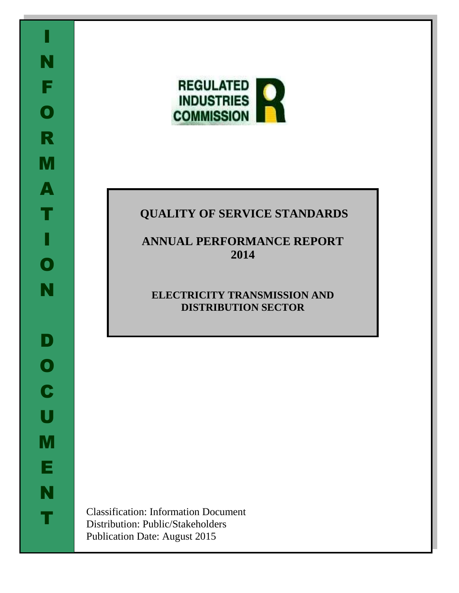

# **QUALITY OF SERVICE STANDARDS**

# **ANNUAL PERFORMANCE REPORT 2014**

# **ELECTRICITY TRANSMISSION AND DISTRIBUTION SECTOR**

Classification: Information Document Distribution: Public/Stakeholders Publication Date: August 2015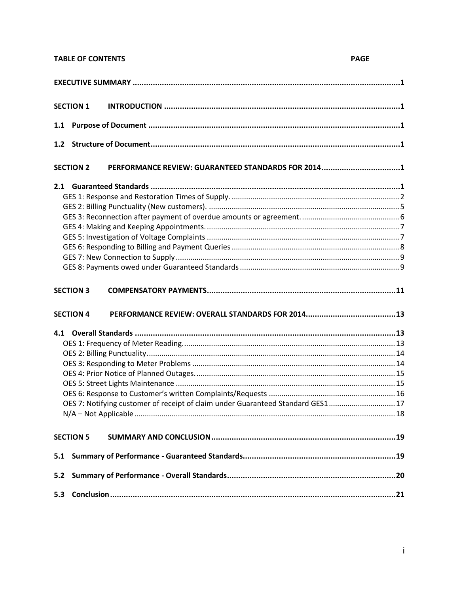# **TABLE OF CONTENTS**

# **PAGE**

|     | <b>SECTION 1</b>                                                                 |  |
|-----|----------------------------------------------------------------------------------|--|
| 1.1 |                                                                                  |  |
|     |                                                                                  |  |
|     | PERFORMANCE REVIEW: GUARANTEED STANDARDS FOR 20141<br><b>SECTION 2</b>           |  |
|     |                                                                                  |  |
|     |                                                                                  |  |
|     |                                                                                  |  |
|     |                                                                                  |  |
|     |                                                                                  |  |
|     |                                                                                  |  |
|     |                                                                                  |  |
|     |                                                                                  |  |
|     |                                                                                  |  |
|     | <b>SECTION 3</b>                                                                 |  |
|     |                                                                                  |  |
|     | <b>SECTION 4</b>                                                                 |  |
|     |                                                                                  |  |
|     |                                                                                  |  |
|     |                                                                                  |  |
|     |                                                                                  |  |
|     |                                                                                  |  |
|     |                                                                                  |  |
|     |                                                                                  |  |
|     |                                                                                  |  |
|     | OES 7: Notifying customer of receipt of claim under Guaranteed Standard GES1  17 |  |
|     | <b>SECTION 5</b>                                                                 |  |
| 5.1 |                                                                                  |  |
| 5.2 |                                                                                  |  |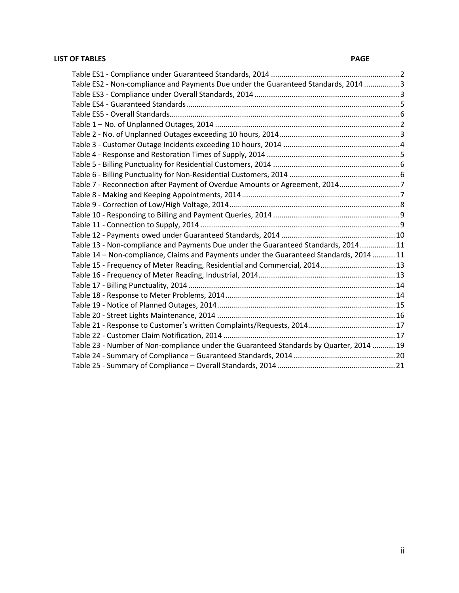# **LIST OF TABLES PAGE**

| Table ES2 - Non-compliance and Payments Due under the Guaranteed Standards, 2014 3      |  |
|-----------------------------------------------------------------------------------------|--|
|                                                                                         |  |
|                                                                                         |  |
|                                                                                         |  |
|                                                                                         |  |
|                                                                                         |  |
|                                                                                         |  |
|                                                                                         |  |
|                                                                                         |  |
|                                                                                         |  |
| Table 7 - Reconnection after Payment of Overdue Amounts or Agreement, 20147             |  |
|                                                                                         |  |
|                                                                                         |  |
|                                                                                         |  |
|                                                                                         |  |
|                                                                                         |  |
| Table 13 - Non-compliance and Payments Due under the Guaranteed Standards, 2014 11      |  |
| Table 14 - Non-compliance, Claims and Payments under the Guaranteed Standards, 2014  11 |  |
| Table 15 - Frequency of Meter Reading, Residential and Commercial, 2014 13              |  |
|                                                                                         |  |
|                                                                                         |  |
|                                                                                         |  |
|                                                                                         |  |
|                                                                                         |  |
|                                                                                         |  |
|                                                                                         |  |
| Table 23 - Number of Non-compliance under the Guaranteed Standards by Quarter, 2014  19 |  |
|                                                                                         |  |
|                                                                                         |  |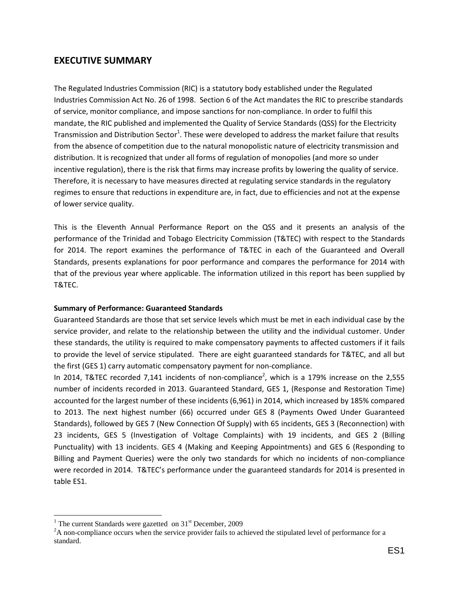# <span id="page-3-0"></span>**EXECUTIVE SUMMARY**

The Regulated Industries Commission (RIC) is a statutory body established under the Regulated Industries Commission Act No. 26 of 1998. Section 6 of the Act mandates the RIC to prescribe standards of service, monitor compliance, and impose sanctions for non-compliance. In order to fulfil this mandate, the RIC published and implemented the Quality of Service Standards (QSS) for the Electricity Transmission and Distribution Sector<sup>1</sup>. These were developed to address the market failure that results from the absence of competition due to the natural monopolistic nature of electricity transmission and distribution. It is recognized that under all forms of regulation of monopolies (and more so under incentive regulation), there is the risk that firms may increase profits by lowering the quality of service. Therefore, it is necessary to have measures directed at regulating service standards in the regulatory regimes to ensure that reductions in expenditure are, in fact, due to efficiencies and not at the expense of lower service quality.

This is the Eleventh Annual Performance Report on the QSS and it presents an analysis of the performance of the Trinidad and Tobago Electricity Commission (T&TEC) with respect to the Standards for 2014. The report examines the performance of T&TEC in each of the Guaranteed and Overall Standards, presents explanations for poor performance and compares the performance for 2014 with that of the previous year where applicable. The information utilized in this report has been supplied by T&TEC.

# **Summary of Performance: Guaranteed Standards**

Guaranteed Standards are those that set service levels which must be met in each individual case by the service provider, and relate to the relationship between the utility and the individual customer. Under these standards, the utility is required to make compensatory payments to affected customers if it fails to provide the level of service stipulated. There are eight guaranteed standards for T&TEC, and all but the first (GES 1) carry automatic compensatory payment for non-compliance.

In 2014, T&TEC recorded 7,141 incidents of non-compliance<sup>2</sup>, which is a 179% increase on the 2,555 number of incidents recorded in 2013. Guaranteed Standard, GES 1, (Response and Restoration Time) accounted for the largest number of these incidents (6,961) in 2014, which increased by 185% compared to 2013. The next highest number (66) occurred under GES 8 (Payments Owed Under Guaranteed Standards), followed by GES 7 (New Connection Of Supply) with 65 incidents, GES 3 (Reconnection) with 23 incidents, GES 5 (Investigation of Voltage Complaints) with 19 incidents, and GES 2 (Billing Punctuality) with 13 incidents. GES 4 (Making and Keeping Appointments) and GES 6 (Responding to Billing and Payment Queries) were the only two standards for which no incidents of non-compliance were recorded in 2014. T&TEC's performance under the guaranteed standards for 2014 is presented in table ES1.

 $\overline{a}$ <sup>1</sup> The current Standards were gazetted on  $31<sup>st</sup>$  December, 2009

<sup>&</sup>lt;sup>2</sup>A non-compliance occurs when the service provider fails to achieved the stipulated level of performance for a standard.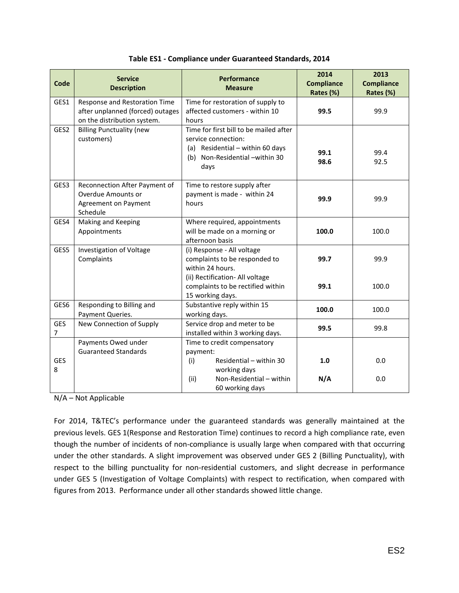<span id="page-4-0"></span>

| Code                         | <b>Service</b><br><b>Description</b>                                                             | <b>Performance</b><br><b>Measure</b>                                                                                                        | 2014<br><b>Compliance</b><br>Rates (%) | 2013<br><b>Compliance</b><br>Rates (%) |
|------------------------------|--------------------------------------------------------------------------------------------------|---------------------------------------------------------------------------------------------------------------------------------------------|----------------------------------------|----------------------------------------|
| GES1                         | Response and Restoration Time<br>after unplanned (forced) outages<br>on the distribution system. | Time for restoration of supply to<br>affected customers - within 10<br>hours                                                                | 99.5                                   | 99.9                                   |
| GES2                         | <b>Billing Punctuality (new</b><br>customers)                                                    | Time for first bill to be mailed after<br>service connection:<br>(a) Residential - within 60 days<br>(b) Non-Residential -within 30<br>days | 99.1<br>98.6                           | 99.4<br>92.5                           |
| GES3                         | Reconnection After Payment of<br><b>Overdue Amounts or</b><br>Agreement on Payment<br>Schedule   | Time to restore supply after<br>payment is made - within 24<br>hours                                                                        | 99.9                                   | 99.9                                   |
| GES4                         | Making and Keeping<br>Appointments                                                               | Where required, appointments<br>will be made on a morning or<br>afternoon basis                                                             | 100.0                                  | 100.0                                  |
| GES5                         | Investigation of Voltage<br>Complaints                                                           | (i) Response - All voltage<br>complaints to be responded to<br>within 24 hours.                                                             | 99.7                                   | 99.9                                   |
|                              |                                                                                                  | (ii) Rectification- All voltage<br>complaints to be rectified within<br>15 working days.                                                    | 99.1                                   | 100.0                                  |
| GES6                         | Responding to Billing and<br>Payment Queries.                                                    | Substantive reply within 15<br>working days.                                                                                                | 100.0                                  | 100.0                                  |
| <b>GES</b><br>$\overline{7}$ | New Connection of Supply                                                                         | Service drop and meter to be<br>installed within 3 working days.                                                                            | 99.5                                   | 99.8                                   |
|                              | Payments Owed under<br><b>Guaranteed Standards</b>                                               | Time to credit compensatory<br>payment:                                                                                                     |                                        |                                        |
| <b>GES</b><br>8              |                                                                                                  | (i)<br>Residential - within 30<br>working days                                                                                              | 1.0                                    | 0.0                                    |
|                              |                                                                                                  | Non-Residential - within<br>(ii)<br>60 working days                                                                                         | N/A                                    | 0.0                                    |

N/A – Not Applicable

For 2014, T&TEC's performance under the guaranteed standards was generally maintained at the previous levels. GES 1(Response and Restoration Time) continues to record a high compliance rate, even though the number of incidents of non-compliance is usually large when compared with that occurring under the other standards. A slight improvement was observed under GES 2 (Billing Punctuality), with respect to the billing punctuality for non-residential customers, and slight decrease in performance under GES 5 (Investigation of Voltage Complaints) with respect to rectification, when compared with figures from 2013. Performance under all other standards showed little change.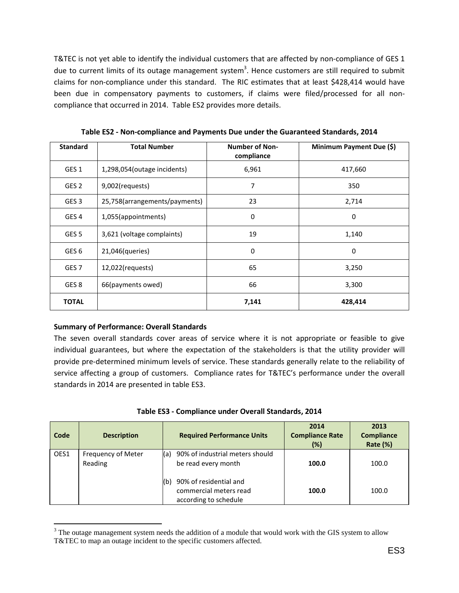T&TEC is not yet able to identify the individual customers that are affected by non-compliance of GES 1 due to current limits of its outage management system<sup>3</sup>. Hence customers are still required to submit claims for non-compliance under this standard. The RIC estimates that at least \$428,414 would have been due in compensatory payments to customers, if claims were filed/processed for all noncompliance that occurred in 2014. Table ES2 provides more details.

<span id="page-5-0"></span>

| <b>Standard</b>  | <b>Total Number</b>           | <b>Number of Non-</b><br>compliance | Minimum Payment Due (\$) |
|------------------|-------------------------------|-------------------------------------|--------------------------|
| GES <sub>1</sub> | 1,298,054(outage incidents)   | 6,961                               | 417,660                  |
| GES <sub>2</sub> | 9,002(requests)               | 7                                   | 350                      |
| GES <sub>3</sub> | 25,758(arrangements/payments) | 23                                  | 2,714                    |
| GES <sub>4</sub> | 1,055(appointments)           | 0                                   | 0                        |
| GES <sub>5</sub> | 3,621 (voltage complaints)    | 19                                  | 1,140                    |
| GES <sub>6</sub> | 21,046(queries)               | 0                                   | $\Omega$                 |
| GES <sub>7</sub> | $12,022$ (requests)           | 65                                  | 3,250                    |
| GES 8            | 66(payments owed)             | 66                                  | 3,300                    |
| <b>TOTAL</b>     |                               | 7,141                               | 428,414                  |

**Table ES2 - Non-compliance and Payments Due under the Guaranteed Standards, 2014**

# **Summary of Performance: Overall Standards**

 $\overline{a}$ 

The seven overall standards cover areas of service where it is not appropriate or feasible to give individual guarantees, but where the expectation of the stakeholders is that the utility provider will provide pre-determined minimum levels of service. These standards generally relate to the reliability of service affecting a group of customers. Compliance rates for T&TEC's performance under the overall standards in 2014 are presented in table ES3.

<span id="page-5-1"></span>

| Code | <b>Description</b>            | <b>Required Performance Units</b>                                                | 2014<br><b>Compliance Rate</b><br>(%) | 2013<br><b>Compliance</b><br>Rate (%) |
|------|-------------------------------|----------------------------------------------------------------------------------|---------------------------------------|---------------------------------------|
| OES1 | Frequency of Meter<br>Reading | 90% of industrial meters should<br>(a)<br>be read every month                    | 100.0                                 | 100.0                                 |
|      |                               | 90% of residential and<br>(b)<br>commercial meters read<br>according to schedule | 100.0                                 | 100.0                                 |

<sup>&</sup>lt;sup>3</sup> The outage management system needs the addition of a module that would work with the GIS system to allow T&TEC to map an outage incident to the specific customers affected.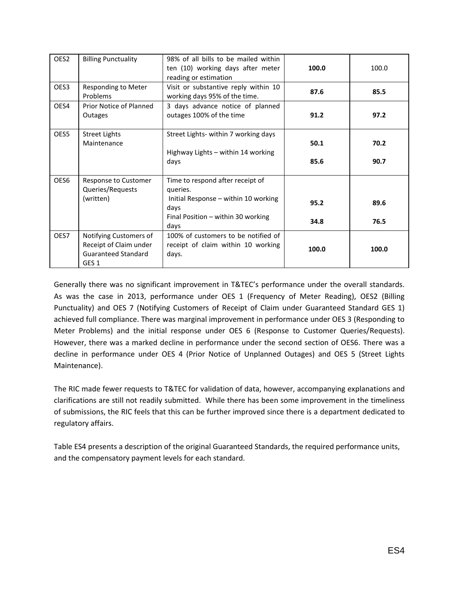| OES <sub>2</sub> | <b>Billing Punctuality</b>                                                                         | 98% of all bills to be mailed within<br>ten (10) working days after meter<br>reading or estimation | 100.0 | 100.0 |
|------------------|----------------------------------------------------------------------------------------------------|----------------------------------------------------------------------------------------------------|-------|-------|
| OES <sub>3</sub> | <b>Responding to Meter</b><br>Problems                                                             | Visit or substantive reply within 10<br>working days 95% of the time.                              | 87.6  | 85.5  |
| OES4             | Prior Notice of Planned<br>Outages                                                                 | 3 days advance notice of planned<br>outages 100% of the time                                       | 91.2  | 97.2  |
| OES5             | <b>Street Lights</b><br>Maintenance                                                                | Street Lights- within 7 working days<br>Highway Lights - within 14 working                         | 50.1  | 70.2  |
|                  |                                                                                                    | days                                                                                               | 85.6  | 90.7  |
| OES <sub>6</sub> | Response to Customer<br>Queries/Requests                                                           | Time to respond after receipt of<br>queries.                                                       |       |       |
|                  | (written)                                                                                          | Initial Response - within 10 working<br>days                                                       | 95.2  | 89.6  |
|                  |                                                                                                    | Final Position - within 30 working<br>days                                                         | 34.8  | 76.5  |
| OES7             | Notifying Customers of<br>Receipt of Claim under<br><b>Guaranteed Standard</b><br>GES <sub>1</sub> | 100% of customers to be notified of<br>receipt of claim within 10 working<br>days.                 | 100.0 | 100.0 |

Generally there was no significant improvement in T&TEC's performance under the overall standards. As was the case in 2013, performance under OES 1 (Frequency of Meter Reading), OES2 (Billing Punctuality) and OES 7 (Notifying Customers of Receipt of Claim under Guaranteed Standard GES 1) achieved full compliance. There was marginal improvement in performance under OES 3 (Responding to Meter Problems) and the initial response under OES 6 (Response to Customer Queries/Requests). However, there was a marked decline in performance under the second section of OES6. There was a decline in performance under OES 4 (Prior Notice of Unplanned Outages) and OES 5 (Street Lights Maintenance).

The RIC made fewer requests to T&TEC for validation of data, however, accompanying explanations and clarifications are still not readily submitted. While there has been some improvement in the timeliness of submissions, the RIC feels that this can be further improved since there is a department dedicated to regulatory affairs.

Table ES4 presents a description of the original Guaranteed Standards, the required performance units, and the compensatory payment levels for each standard.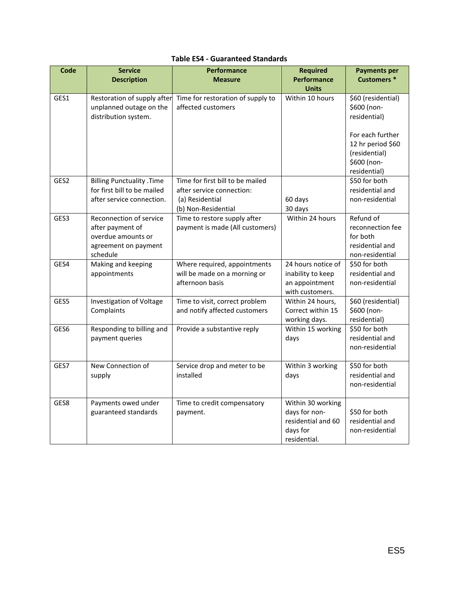<span id="page-7-0"></span>

| <b>Code</b>      | <b>Service</b><br><b>Description</b>                                                                  | <b>Performance</b><br><b>Measure</b>                                            | <b>Required</b><br><b>Performance</b>                                                | <b>Payments per</b><br><b>Customers *</b>                                             |
|------------------|-------------------------------------------------------------------------------------------------------|---------------------------------------------------------------------------------|--------------------------------------------------------------------------------------|---------------------------------------------------------------------------------------|
|                  |                                                                                                       |                                                                                 | <b>Units</b>                                                                         |                                                                                       |
| GES1             | Restoration of supply after<br>unplanned outage on the<br>distribution system.                        | Time for restoration of supply to<br>affected customers                         | Within 10 hours                                                                      | \$60 (residential)<br>\$600 (non-<br>residential)                                     |
|                  |                                                                                                       |                                                                                 |                                                                                      | For each further<br>12 hr period \$60<br>(residential)<br>\$600 (non-<br>residential) |
| GES <sub>2</sub> | <b>Billing Punctuality .Time</b>                                                                      | Time for first bill to be mailed                                                |                                                                                      | \$50 for both                                                                         |
|                  | for first bill to be mailed<br>after service connection.                                              | after service connection:<br>(a) Residential<br>(b) Non-Residential             | 60 days<br>30 days                                                                   | residential and<br>non-residential                                                    |
| GES3             | Reconnection of service<br>after payment of<br>overdue amounts or<br>agreement on payment<br>schedule | Time to restore supply after<br>payment is made (All customers)                 | Within 24 hours                                                                      | Refund of<br>reconnection fee<br>for both<br>residential and<br>non-residential       |
| GES4             | Making and keeping<br>appointments                                                                    | Where required, appointments<br>will be made on a morning or<br>afternoon basis | 24 hours notice of<br>inability to keep<br>an appointment<br>with customers.         | \$50 for both<br>residential and<br>non-residential                                   |
| GES5             | Investigation of Voltage<br>Complaints                                                                | Time to visit, correct problem<br>and notify affected customers                 | Within 24 hours,<br>Correct within 15<br>working days.                               | \$60 (residential)<br>\$600 (non-<br>residential)                                     |
| GES6             | Responding to billing and<br>payment queries                                                          | Provide a substantive reply                                                     | Within 15 working<br>days                                                            | \$50 for both<br>residential and<br>non-residential                                   |
| GES7             | New Connection of<br>supply                                                                           | Service drop and meter to be<br>installed                                       | Within 3 working<br>days                                                             | \$50 for both<br>residential and<br>non-residential                                   |
| GES8             | Payments owed under<br>guaranteed standards                                                           | Time to credit compensatory<br>payment.                                         | Within 30 working<br>days for non-<br>residential and 60<br>days for<br>residential. | \$50 for both<br>residential and<br>non-residential                                   |

# **Table ES4 - Guaranteed Standards**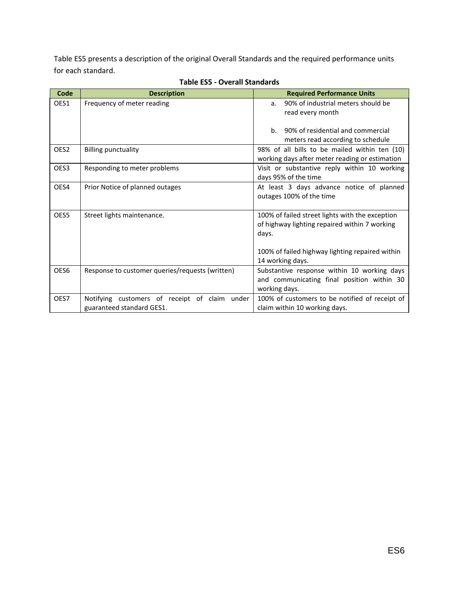Table ES5 presents a description of the original Overall Standards and the required performance units for each standard.

<span id="page-8-0"></span>

| Code             | <b>Description</b>                                                         | <b>Required Performance Units</b>                                                                                                                                                |
|------------------|----------------------------------------------------------------------------|----------------------------------------------------------------------------------------------------------------------------------------------------------------------------------|
| OES1             | Frequency of meter reading                                                 | 90% of industrial meters should be<br>a.<br>read every month                                                                                                                     |
|                  |                                                                            | $h_{\cdot}$<br>90% of residential and commercial<br>meters read according to schedule                                                                                            |
| OES <sub>2</sub> | <b>Billing punctuality</b>                                                 | 98% of all bills to be mailed within ten (10)<br>working days after meter reading or estimation                                                                                  |
| OES3             | Responding to meter problems                                               | Visit or substantive reply within 10 working<br>days 95% of the time                                                                                                             |
| OES4             | Prior Notice of planned outages                                            | At least 3 days advance notice of planned<br>outages 100% of the time                                                                                                            |
| OES5             | Street lights maintenance.                                                 | 100% of failed street lights with the exception<br>of highway lighting repaired within 7 working<br>days.<br>100% of failed highway lighting repaired within<br>14 working days. |
| OES6             | Response to customer queries/requests (written)                            | Substantive response within 10 working days<br>and communicating final position within 30<br>working days.                                                                       |
| OES7             | Notifying customers of receipt of claim under<br>guaranteed standard GES1. | 100% of customers to be notified of receipt of<br>claim within 10 working days.                                                                                                  |

# **Table ES5 - Overall Standards**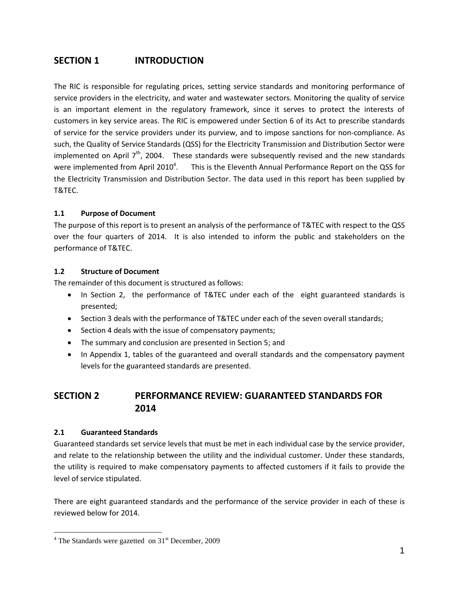# <span id="page-9-0"></span>**SECTION 1 INTRODUCTION**

The RIC is responsible for regulating prices, setting service standards and monitoring performance of service providers in the electricity, and water and wastewater sectors. Monitoring the quality of service is an important element in the regulatory framework, since it serves to protect the interests of customers in key service areas. The RIC is empowered under Section 6 of its Act to prescribe standards of service for the service providers under its purview, and to impose sanctions for non-compliance. As such, the Quality of Service Standards (QSS) for the Electricity Transmission and Distribution Sector were implemented on April  $7<sup>th</sup>$ , 2004. These standards were subsequently revised and the new standards were implemented from April 2010<sup>4</sup> . This is the Eleventh Annual Performance Report on the QSS for the Electricity Transmission and Distribution Sector. The data used in this report has been supplied by T&TEC.

# <span id="page-9-1"></span>**1.1 Purpose of Document**

The purpose of this report is to present an analysis of the performance of T&TEC with respect to the QSS over the four quarters of 2014. It is also intended to inform the public and stakeholders on the performance of T&TEC.

# <span id="page-9-2"></span>**1.2 Structure of Document**

The remainder of this document is structured as follows:

- In Section 2, the performance of T&TEC under each of the eight guaranteed standards is presented;
- Section 3 deals with the performance of T&TEC under each of the seven overall standards;
- Section 4 deals with the issue of compensatory payments;
- The summary and conclusion are presented in Section 5; and
- In Appendix 1, tables of the guaranteed and overall standards and the compensatory payment levels for the guaranteed standards are presented.

# <span id="page-9-3"></span>**SECTION 2 PERFORMANCE REVIEW: GUARANTEED STANDARDS FOR 2014**

# <span id="page-9-4"></span>**2.1 Guaranteed Standards**

 $\overline{a}$ 

Guaranteed standards set service levels that must be met in each individual case by the service provider, and relate to the relationship between the utility and the individual customer. Under these standards, the utility is required to make compensatory payments to affected customers if it fails to provide the level of service stipulated.

There are eight guaranteed standards and the performance of the service provider in each of these is reviewed below for 2014.

 $4$  The Standards were gazetted on  $31<sup>st</sup>$  December, 2009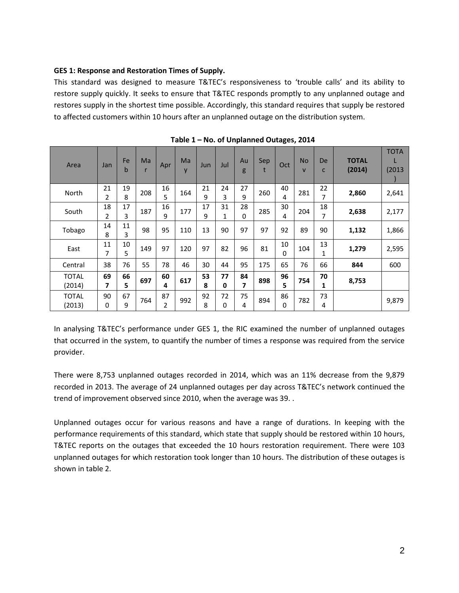# <span id="page-10-0"></span>**GES 1: Response and Restoration Times of Supply.**

This standard was designed to measure T&TEC's responsiveness to 'trouble calls' and its ability to restore supply quickly. It seeks to ensure that T&TEC responds promptly to any unplanned outage and restores supply in the shortest time possible. Accordingly, this standard requires that supply be restored to affected customers within 10 hours after an unplanned outage on the distribution system.

<span id="page-10-1"></span>

| Area                   | Jan                           | Fe<br>b | Ma  | Apr     | Ma<br>y | Jun     | Jul     | Au<br>g | Sep | Oct            | <b>No</b><br>$\mathsf{V}$ | De<br>C            | <b>TOTAL</b><br>(2014) | <b>TOTA</b><br>(2013) |
|------------------------|-------------------------------|---------|-----|---------|---------|---------|---------|---------|-----|----------------|---------------------------|--------------------|------------------------|-----------------------|
| North                  | 21<br>2                       | 19<br>8 | 208 | 16<br>5 | 164     | 21<br>9 | 24<br>3 | 27<br>9 | 260 | 40<br>4        | 281                       | 22<br>7            | 2,860                  | 2,641                 |
| South                  | 18<br>$\overline{2}$          | 17<br>3 | 187 | 16<br>9 | 177     | 17<br>9 | 31<br>1 | 28<br>0 | 285 | 30<br>4        | 204                       | 18<br>7            | 2,638                  | 2,177                 |
| Tobago                 | 14<br>8                       | 11<br>3 | 98  | 95      | 110     | 13      | 90      | 97      | 97  | 92             | 89                        | 90                 | 1,132                  | 1,866                 |
| East                   | 11<br>7                       | 10<br>5 | 149 | 97      | 120     | 97      | 82      | 96      | 81  | 10<br>$\Omega$ | 104                       | 13<br>$\mathbf{1}$ | 1,279                  | 2,595                 |
| Central                | 38                            | 76      | 55  | 78      | 46      | 30      | 44      | 95      | 175 | 65             | 76                        | 66                 | 844                    | 600                   |
| <b>TOTAL</b><br>(2014) | 69<br>$\overline{\mathbf{z}}$ | 66<br>5 | 697 | 60<br>4 | 617     | 53<br>8 | 77<br>0 | 84<br>7 | 898 | 96<br>5        | 754                       | 70<br>1            | 8,753                  |                       |
| <b>TOTAL</b><br>(2013) | 90<br>0                       | 67<br>9 | 764 | 87<br>2 | 992     | 92<br>8 | 72<br>0 | 75<br>4 | 894 | 86<br>$\Omega$ | 782                       | 73<br>4            |                        | 9,879                 |

**Table 1 – No. of Unplanned Outages, 2014**

In analysing T&TEC's performance under GES 1, the RIC examined the number of unplanned outages that occurred in the system, to quantify the number of times a response was required from the service provider.

There were 8,753 unplanned outages recorded in 2014, which was an 11% decrease from the 9,879 recorded in 2013. The average of 24 unplanned outages per day across T&TEC's network continued the trend of improvement observed since 2010, when the average was 39. .

Unplanned outages occur for various reasons and have a range of durations. In keeping with the performance requirements of this standard, which state that supply should be restored within 10 hours, T&TEC reports on the outages that exceeded the 10 hours restoration requirement. There were 103 unplanned outages for which restoration took longer than 10 hours. The distribution of these outages is shown in table 2.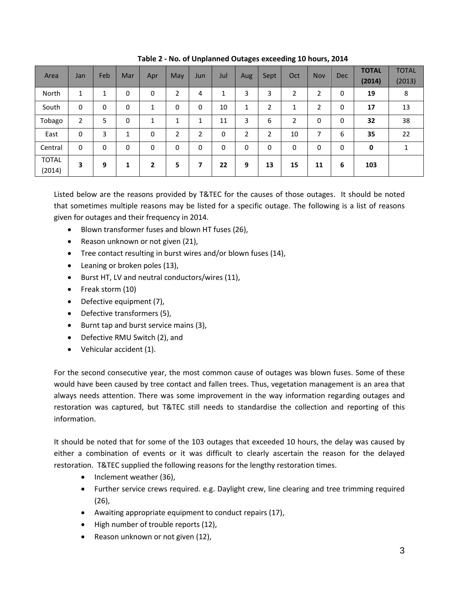<span id="page-11-0"></span>

| Area                   | Jan          | Feb | Mar | Apr         | May          | Jun | Jul | Aug | Sept           | Oct | Nov | <b>Dec</b> | <b>TOTAL</b><br>(2014) | <b>TOTAL</b><br>(2013) |
|------------------------|--------------|-----|-----|-------------|--------------|-----|-----|-----|----------------|-----|-----|------------|------------------------|------------------------|
| North                  | $\mathbf{1}$ | 1   | 0   | 0           | 2            | 4   | 1   | 3   | 3              | 2   | 2   | 0          | 19                     | 8                      |
| South                  | 0            | 0   | 0   | 1           | 0            | 0   | 10  | 1   | $\overline{2}$ | ◢   | 2   | 0          | 17                     | 13                     |
| Tobago                 | 2            | 5   | 0   | 1           | $\mathbf{1}$ | 1   | 11  | 3   | 6              | 2   | 0   | 0          | 32                     | 38                     |
| East                   | 0            | 3   | 1   | $\mathbf 0$ | 2            | 2   | 0   | 2   | 2              | 10  | 7   | 6          | 35                     | 22                     |
| Central                | 0            | 0   | 0   | 0           | 0            | 0   | 0   | 0   | 0              | 0   | 0   | 0          | 0                      | 1                      |
| <b>TOTAL</b><br>(2014) | 3            | 9   | 1   | 2           | 5            | 7   | 22  | 9   | 13             | 15  | 11  | 6          | 103                    |                        |

**Table 2 - No. of Unplanned Outages exceeding 10 hours, 2014**

Listed below are the reasons provided by T&TEC for the causes of those outages. It should be noted that sometimes multiple reasons may be listed for a specific outage. The following is a list of reasons given for outages and their frequency in 2014.

- Blown transformer fuses and blown HT fuses (26),
- Reason unknown or not given (21),
- Tree contact resulting in burst wires and/or blown fuses (14),
- Leaning or broken poles (13),
- Burst HT, LV and neutral conductors/wires (11),
- Freak storm (10)
- Defective equipment (7),
- Defective transformers (5),
- Burnt tap and burst service mains (3),
- Defective RMU Switch (2), and
- Vehicular accident (1).

For the second consecutive year, the most common cause of outages was blown fuses. Some of these would have been caused by tree contact and fallen trees. Thus, vegetation management is an area that always needs attention. There was some improvement in the way information regarding outages and restoration was captured, but T&TEC still needs to standardise the collection and reporting of this information.

It should be noted that for some of the 103 outages that exceeded 10 hours, the delay was caused by either a combination of events or it was difficult to clearly ascertain the reason for the delayed restoration. T&TEC supplied the following reasons for the lengthy restoration times.

- Inclement weather (36),
- Further service crews required. e.g. Daylight crew, line clearing and tree trimming required (26),
- Awaiting appropriate equipment to conduct repairs (17),
- High number of trouble reports (12),
- Reason unknown or not given (12),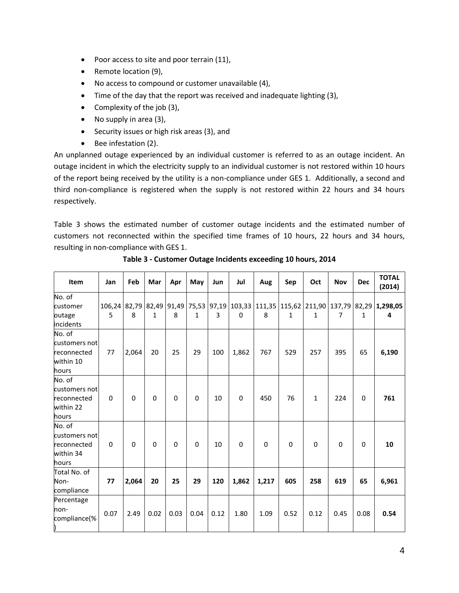- Poor access to site and poor terrain (11),
- Remote location (9),
- No access to compound or customer unavailable (4),
- Time of the day that the report was received and inadequate lighting (3),
- Complexity of the job (3),
- No supply in area (3),
- Security issues or high risk areas (3), and
- Bee infestation (2).

An unplanned outage experienced by an individual customer is referred to as an outage incident. An outage incident in which the electricity supply to an individual customer is not restored within 10 hours of the report being received by the utility is a non-compliance under GES 1. Additionally, a second and third non-compliance is registered when the supply is not restored within 22 hours and 34 hours respectively.

Table 3 shows the estimated number of customer outage incidents and the estimated number of customers not reconnected within the specified time frames of 10 hours, 22 hours and 34 hours, resulting in non-compliance with GES 1.

<span id="page-12-0"></span>

| Item                                                         | Jan         | Feb      | Mar          | Apr         | May          | Jun  | Jul         | Aug      | Sep          | Oct          | <b>Nov</b> | <b>Dec</b>   | <b>TOTAL</b><br>(2014)                                                                      |
|--------------------------------------------------------------|-------------|----------|--------------|-------------|--------------|------|-------------|----------|--------------|--------------|------------|--------------|---------------------------------------------------------------------------------------------|
| No. of<br>customer<br>outage<br>incidents                    | 5           | 8        | $\mathbf{1}$ | 8           | $\mathbf{1}$ | 3    | $\Omega$    | 8        | $\mathbf{1}$ | 1            | 7          | $\mathbf{1}$ | 106,24 82,79 82,49 91,49 75,53 97,19 103,33 111,35 115,62 211,90 137,79 82,29 1,298,05<br>4 |
| No. of<br>customers not<br>reconnected<br>within 10<br>hours | 77          | 2,064    | 20           | 25          | 29           | 100  | 1,862       | 767      | 529          | 257          | 395        | 65           | 6,190                                                                                       |
| No. of<br>customers not<br>reconnected<br>within 22<br>hours | $\pmb{0}$   | $\Omega$ | $\mathbf 0$  | $\mathbf 0$ | $\pmb{0}$    | 10   | $\mathbf 0$ | 450      | 76           | $\mathbf{1}$ | 224        | $\mathbf 0$  | 761                                                                                         |
| No. of<br>customers not<br>reconnected<br>within 34<br>hours | $\mathbf 0$ | $\Omega$ | $\Omega$     | $\Omega$    | $\mathbf 0$  | 10   | $\Omega$    | $\Omega$ | $\mathbf 0$  | $\mathbf 0$  | $\Omega$   | $\Omega$     | 10                                                                                          |
| Total No. of<br>Non-<br>compliance                           | 77          | 2,064    | 20           | 25          | 29           | 120  | 1,862       | 1,217    | 605          | 258          | 619        | 65           | 6,961                                                                                       |
| Percentage<br>non-<br>compliance(%<br>)                      | 0.07        | 2.49     | 0.02         | 0.03        | 0.04         | 0.12 | 1.80        | 1.09     | 0.52         | 0.12         | 0.45       | 0.08         | 0.54                                                                                        |

**Table 3 - Customer Outage Incidents exceeding 10 hours, 2014**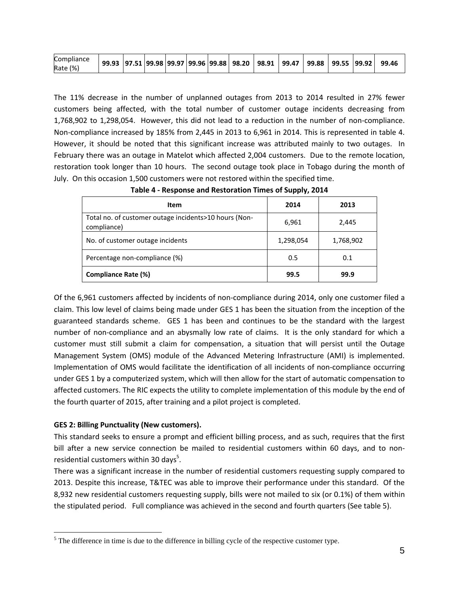| <b>Compliance</b><br>(% )<br>Rate | 99.93 |  |  |  |  |  | 97.51    99.98    99.97    99.96    99.88    98.20 | 98.91 | 99.47 | 99.88 | 99.55 99.92 |  | 99.46 |
|-----------------------------------|-------|--|--|--|--|--|----------------------------------------------------|-------|-------|-------|-------------|--|-------|
|-----------------------------------|-------|--|--|--|--|--|----------------------------------------------------|-------|-------|-------|-------------|--|-------|

The 11% decrease in the number of unplanned outages from 2013 to 2014 resulted in 27% fewer customers being affected, with the total number of customer outage incidents decreasing from 1,768,902 to 1,298,054. However, this did not lead to a reduction in the number of non-compliance. Non-compliance increased by 185% from 2,445 in 2013 to 6,961 in 2014. This is represented in table 4. However, it should be noted that this significant increase was attributed mainly to two outages. In February there was an outage in Matelot which affected 2,004 customers. Due to the remote location, restoration took longer than 10 hours. The second outage took place in Tobago during the month of July. On this occasion 1,500 customers were not restored within the specified time.

<span id="page-13-1"></span>

| Item                                                                 | 2014      | 2013      |
|----------------------------------------------------------------------|-----------|-----------|
| Total no. of customer outage incidents>10 hours (Non-<br>compliance) | 6,961     | 2,445     |
| No. of customer outage incidents                                     | 1,298,054 | 1,768,902 |
| Percentage non-compliance (%)                                        | 0.5       | 0.1       |
| Compliance Rate (%)                                                  | 99.5      | 99.9      |

**Table 4 - Response and Restoration Times of Supply, 2014**

Of the 6,961 customers affected by incidents of non-compliance during 2014, only one customer filed a claim. This low level of claims being made under GES 1 has been the situation from the inception of the guaranteed standards scheme. GES 1 has been and continues to be the standard with the largest number of non-compliance and an abysmally low rate of claims. It is the only standard for which a customer must still submit a claim for compensation, a situation that will persist until the Outage Management System (OMS) module of the Advanced Metering Infrastructure (AMI) is implemented. Implementation of OMS would facilitate the identification of all incidents of non-compliance occurring under GES 1 by a computerized system, which will then allow for the start of automatic compensation to affected customers. The RIC expects the utility to complete implementation of this module by the end of the fourth quarter of 2015, after training and a pilot project is completed.

# <span id="page-13-0"></span>**GES 2: Billing Punctuality (New customers).**

 $\overline{a}$ 

This standard seeks to ensure a prompt and efficient billing process, and as such, requires that the first bill after a new service connection be mailed to residential customers within 60 days, and to nonresidential customers within 30 days $5$ .

There was a significant increase in the number of residential customers requesting supply compared to 2013. Despite this increase, T&TEC was able to improve their performance under this standard. Of the 8,932 new residential customers requesting supply, bills were not mailed to six (or 0.1%) of them within the stipulated period. Full compliance was achieved in the second and fourth quarters (See table 5).

 $<sup>5</sup>$  The difference in time is due to the difference in billing cycle of the respective customer type.</sup>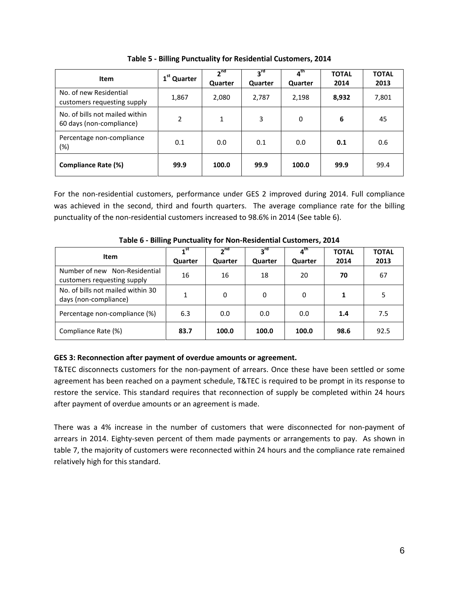<span id="page-14-1"></span>

| Item                                                       | 1 <sup>st</sup> Quarter | 2 <sup>nd</sup><br><b>Quarter</b> | 3 <sup>rd</sup><br>Quarter | $\boldsymbol{a}^{\text{th}}$<br>Quarter | <b>TOTAL</b><br>2014 | <b>TOTAL</b><br>2013 |
|------------------------------------------------------------|-------------------------|-----------------------------------|----------------------------|-----------------------------------------|----------------------|----------------------|
| No. of new Residential<br>customers requesting supply      | 1,867                   | 2,080                             | 2,787                      | 2,198                                   | 8,932                | 7,801                |
| No. of bills not mailed within<br>60 days (non-compliance) | 2                       | 1                                 | 3                          | 0                                       | 6                    | 45                   |
| Percentage non-compliance<br>$(\%)$                        | 0.1                     | 0.0                               | 0.1                        | 0.0                                     | 0.1                  | 0.6                  |
| Compliance Rate (%)                                        | 99.9                    | 100.0                             | 99.9                       | 100.0                                   | 99.9                 | 99.4                 |

**Table 5 - Billing Punctuality for Residential Customers, 2014**

For the non-residential customers, performance under GES 2 improved during 2014. Full compliance was achieved in the second, third and fourth quarters. The average compliance rate for the billing punctuality of the non-residential customers increased to 98.6% in 2014 (See table 6).

<span id="page-14-2"></span>

| Item                                                         | 1 <sup>st</sup><br>Quarter | 2 <sub>nd</sub><br>Quarter | $3^{\text{rd}}$<br>Quarter | ⊿ <sup>th</sup><br>Quarter | <b>TOTAL</b><br>2014 | <b>TOTAL</b><br>2013 |
|--------------------------------------------------------------|----------------------------|----------------------------|----------------------------|----------------------------|----------------------|----------------------|
| Number of new Non-Residential<br>customers requesting supply | 16                         | 16                         | 18                         | 20                         | 70                   | 67                   |
| No. of bills not mailed within 30<br>days (non-compliance)   | 1                          | 0                          | 0                          | 0                          | 1                    | 5                    |
| Percentage non-compliance (%)                                | 6.3                        | 0.0                        | 0.0                        | 0.0                        | 1.4                  | 7.5                  |
| Compliance Rate (%)                                          | 83.7                       | 100.0                      | 100.0                      | 100.0                      | 98.6                 | 92.5                 |

**Table 6 - Billing Punctuality for Non-Residential Customers, 2014**

# <span id="page-14-0"></span>**GES 3: Reconnection after payment of overdue amounts or agreement.**

T&TEC disconnects customers for the non-payment of arrears. Once these have been settled or some agreement has been reached on a payment schedule, T&TEC is required to be prompt in its response to restore the service. This standard requires that reconnection of supply be completed within 24 hours after payment of overdue amounts or an agreement is made.

There was a 4% increase in the number of customers that were disconnected for non-payment of arrears in 2014. Eighty-seven percent of them made payments or arrangements to pay. As shown in table 7, the majority of customers were reconnected within 24 hours and the compliance rate remained relatively high for this standard.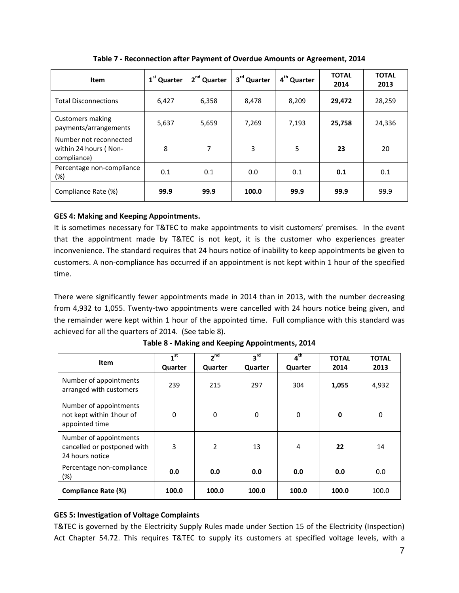<span id="page-15-2"></span>

| <b>Item</b>                                                    | 1 <sup>st</sup> Quarter | 2 <sup>nd</sup> Quarter | 3 <sup>rd</sup> Quarter | 4 <sup>th</sup> Quarter | <b>TOTAL</b><br>2014 | <b>TOTAL</b><br>2013 |
|----------------------------------------------------------------|-------------------------|-------------------------|-------------------------|-------------------------|----------------------|----------------------|
| <b>Total Disconnections</b>                                    | 6,427                   | 6,358                   | 8,478                   | 8,209                   | 29,472               | 28,259               |
| Customers making<br>payments/arrangements                      | 5,637                   | 5,659                   | 7,269                   | 7,193                   | 25,758               | 24,336               |
| Number not reconnected<br>within 24 hours (Non-<br>compliance) | 8                       | 7                       | 3                       | 5                       | 23                   | 20                   |
| Percentage non-compliance<br>(%)                               | 0.1                     | 0.1                     | 0.0                     | 0.1                     | 0.1                  | 0.1                  |
| Compliance Rate (%)                                            | 99.9                    | 99.9                    | 100.0                   | 99.9                    | 99.9                 | 99.9                 |

**Table 7 - Reconnection after Payment of Overdue Amounts or Agreement, 2014**

# <span id="page-15-0"></span>**GES 4: Making and Keeping Appointments.**

It is sometimes necessary for T&TEC to make appointments to visit customers' premises. In the event that the appointment made by T&TEC is not kept, it is the customer who experiences greater inconvenience. The standard requires that 24 hours notice of inability to keep appointments be given to customers. A non-compliance has occurred if an appointment is not kept within 1 hour of the specified time.

There were significantly fewer appointments made in 2014 than in 2013, with the number decreasing from 4,932 to 1,055. Twenty-two appointments were cancelled with 24 hours notice being given, and the remainder were kept within 1 hour of the appointed time. Full compliance with this standard was achieved for all the quarters of 2014. (See table 8).

<span id="page-15-3"></span>

| <b>Item</b>                                                              | 1 <sup>st</sup><br>Quarter | 2 <sup>nd</sup><br>Quarter | $3^{\text{rd}}$<br>Quarter | 4 <sup>th</sup><br>Quarter | <b>TOTAL</b><br>2014 | <b>TOTAL</b><br>2013 |
|--------------------------------------------------------------------------|----------------------------|----------------------------|----------------------------|----------------------------|----------------------|----------------------|
| Number of appointments<br>arranged with customers                        | 239                        | 215                        | 297                        | 304                        | 1,055                | 4,932                |
| Number of appointments<br>not kept within 1hour of<br>appointed time     | $\Omega$                   | 0                          | 0                          | 0                          | 0                    | 0                    |
| Number of appointments<br>cancelled or postponed with<br>24 hours notice | 3                          | 2                          | 13                         | 4                          | 22                   | 14                   |
| Percentage non-compliance<br>$(\%)$                                      | 0.0                        | 0.0                        | 0.0                        | 0.0                        | 0.0                  | 0.0                  |
| Compliance Rate (%)                                                      | 100.0                      | 100.0                      | 100.0                      | 100.0                      | 100.0                | 100.0                |

**Table 8 - Making and Keeping Appointments, 2014**

# <span id="page-15-1"></span>**GES 5: Investigation of Voltage Complaints**

T&TEC is governed by the Electricity Supply Rules made under Section 15 of the Electricity (Inspection) Act Chapter 54.72. This requires T&TEC to supply its customers at specified voltage levels, with a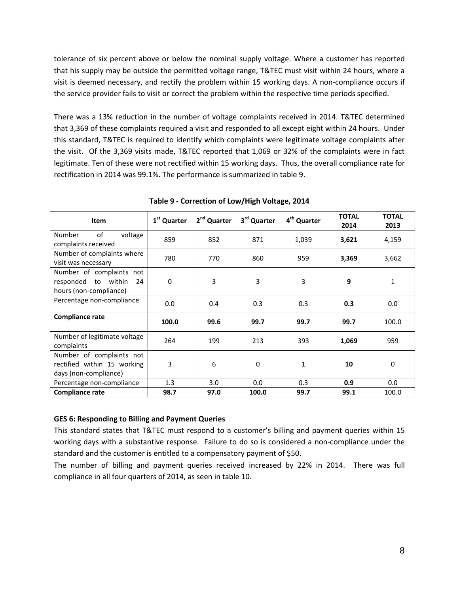tolerance of six percent above or below the nominal supply voltage. Where a customer has reported that his supply may be outside the permitted voltage range, T&TEC must visit within 24 hours, where a visit is deemed necessary, and rectify the problem within 15 working days. A non-compliance occurs if the service provider fails to visit or correct the problem within the respective time periods specified.

There was a 13% reduction in the number of voltage complaints received in 2014. T&TEC determined that 3,369 of these complaints required a visit and responded to all except eight within 24 hours. Under this standard, T&TEC is required to identify which complaints were legitimate voltage complaints after the visit. Of the 3,369 visits made, T&TEC reported that 1,069 or 32% of the complaints were in fact legitimate. Ten of these were not rectified within 15 working days. Thus, the overall compliance rate for rectification in 2014 was 99.1%. The performance is summarized in table 9.

<span id="page-16-1"></span>

| <b>Item</b>                                                                      | 1 <sup>st</sup> Quarter | 2 <sup>nd</sup> Quarter | 3rd Quarter | 4 <sup>th</sup> Quarter | <b>TOTAL</b><br>2014 | <b>TOTAL</b><br>2013 |
|----------------------------------------------------------------------------------|-------------------------|-------------------------|-------------|-------------------------|----------------------|----------------------|
| of<br><b>Number</b><br>voltage<br>complaints received                            | 859                     | 852                     | 871         | 1,039                   | 3,621                | 4,159                |
| Number of complaints where<br>visit was necessary                                | 780                     | 770                     | 860         | 959                     | 3,369                | 3,662                |
| Number of complaints not<br>responded to within<br>24<br>hours (non-compliance)  | 0                       | 3                       | 3           | 3                       | 9                    | 1                    |
| Percentage non-compliance                                                        | 0.0                     | 0.4                     | 0.3         | 0.3                     | 0.3                  | 0.0                  |
| <b>Compliance rate</b>                                                           | 100.0                   | 99.6                    | 99.7        | 99.7                    | 99.7                 | 100.0                |
| Number of legitimate voltage<br>complaints                                       | 264                     | 199                     | 213         | 393                     | 1,069                | 959                  |
| Number of complaints not<br>rectified within 15 working<br>days (non-compliance) | 3                       | 6                       | 0           | $\mathbf{1}$            | 10                   | 0                    |
| Percentage non-compliance                                                        | 1.3                     | 3.0                     | 0.0         | 0.3                     | 0.9                  | 0.0                  |
| <b>Compliance rate</b>                                                           | 98.7                    | 97.0                    | 100.0       | 99.7                    | 99.1                 | 100.0                |

**Table 9 - Correction of Low/High Voltage, 2014**

# <span id="page-16-0"></span>**GES 6: Responding to Billing and Payment Queries**

This standard states that T&TEC must respond to a customer's billing and payment queries within 15 working days with a substantive response. Failure to do so is considered a non-compliance under the standard and the customer is entitled to a compensatory payment of \$50.

The number of billing and payment queries received increased by 22% in 2014. There was full compliance in all four quarters of 2014, as seen in table 10.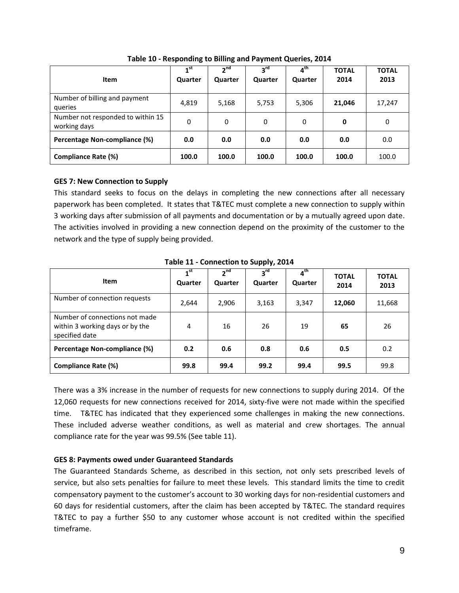<span id="page-17-2"></span>

| Item                                              | 1 <sup>st</sup><br>Quarter | 2 <sub>nd</sub><br><b>Quarter</b> | $3^{\text{rd}}$<br><b>Quarter</b> | $4^{\text{th}}$<br><b>Quarter</b> | <b>TOTAL</b><br>2014 | <b>TOTAL</b><br>2013 |
|---------------------------------------------------|----------------------------|-----------------------------------|-----------------------------------|-----------------------------------|----------------------|----------------------|
| Number of billing and payment<br>queries          | 4,819                      | 5,168                             | 5,753                             | 5,306                             | 21,046               | 17,247               |
| Number not responded to within 15<br>working days | 0                          | 0                                 | $\Omega$                          | $\Omega$                          | 0                    | 0                    |
| Percentage Non-compliance (%)                     | 0.0                        | 0.0                               | 0.0                               | 0.0                               | 0.0                  | 0.0                  |
| Compliance Rate (%)                               | 100.0                      | 100.0                             | 100.0                             | 100.0                             | 100.0                | 100.0                |

**Table 10 - Responding to Billing and Payment Queries, 2014**

# <span id="page-17-0"></span>**GES 7: New Connection to Supply**

This standard seeks to focus on the delays in completing the new connections after all necessary paperwork has been completed. It states that T&TEC must complete a new connection to supply within 3 working days after submission of all payments and documentation or by a mutually agreed upon date. The activities involved in providing a new connection depend on the proximity of the customer to the network and the type of supply being provided.

<span id="page-17-3"></span>

| <b>Item</b>                                                                         | 1 <sup>st</sup><br>Quarter | 2 <sub>nd</sub><br><b>Quarter</b> | $3^{\text{rd}}$<br><b>Quarter</b> | 4 <sup>th</sup><br>Quarter | <b>TOTAL</b><br>2014 | <b>TOTAL</b><br>2013 |
|-------------------------------------------------------------------------------------|----------------------------|-----------------------------------|-----------------------------------|----------------------------|----------------------|----------------------|
| Number of connection requests                                                       | 2,644                      | 2,906                             | 3,163                             | 3,347                      | 12,060               | 11,668               |
| Number of connections not made<br>within 3 working days or by the<br>specified date | 4                          | 16                                | 26                                | 19                         | 65                   | 26                   |
| Percentage Non-compliance (%)                                                       | 0.2                        | 0.6                               | 0.8                               | 0.6                        | 0.5                  | 0.2                  |
| <b>Compliance Rate (%)</b>                                                          | 99.8                       | 99.4                              | 99.2                              | 99.4                       | 99.5                 | 99.8                 |

**Table 11 - Connection to Supply, 2014**

There was a 3% increase in the number of requests for new connections to supply during 2014. Of the 12,060 requests for new connections received for 2014, sixty-five were not made within the specified time. T&TEC has indicated that they experienced some challenges in making the new connections. These included adverse weather conditions, as well as material and crew shortages. The annual compliance rate for the year was 99.5% (See table 11).

# <span id="page-17-1"></span>**GES 8: Payments owed under Guaranteed Standards**

The Guaranteed Standards Scheme, as described in this section, not only sets prescribed levels of service, but also sets penalties for failure to meet these levels. This standard limits the time to credit compensatory payment to the customer's account to 30 working days for non-residential customers and 60 days for residential customers, after the claim has been accepted by T&TEC. The standard requires T&TEC to pay a further \$50 to any customer whose account is not credited within the specified timeframe.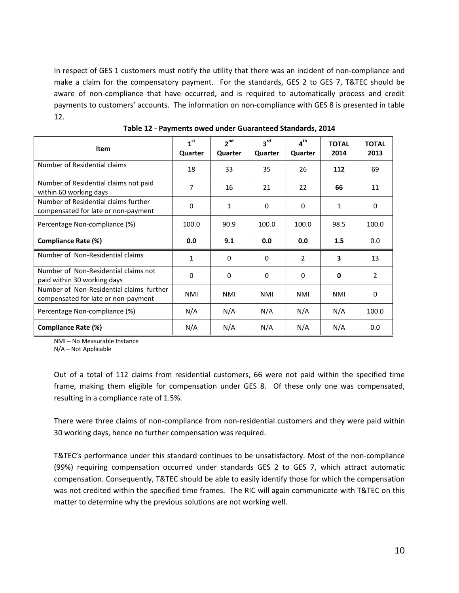In respect of GES 1 customers must notify the utility that there was an incident of non-compliance and make a claim for the compensatory payment. For the standards, GES 2 to GES 7, T&TEC should be aware of non-compliance that have occurred, and is required to automatically process and credit payments to customers' accounts. The information on non-compliance with GES 8 is presented in table 12.

<span id="page-18-0"></span>

| Item                                                                            | 1 <sup>st</sup><br>Quarter | 2 <sup>nd</sup><br>Quarter | $3^{\text{rd}}$<br>Quarter | $4^{\text{th}}$<br>Quarter | <b>TOTAL</b><br>2014 | <b>TOTAL</b><br>2013 |
|---------------------------------------------------------------------------------|----------------------------|----------------------------|----------------------------|----------------------------|----------------------|----------------------|
| Number of Residential claims                                                    | 18                         | 33                         | 35                         | 26                         | 112                  | 69                   |
| Number of Residential claims not paid<br>within 60 working days                 | 7                          | 16                         | 21                         | 22                         | 66                   | 11                   |
| Number of Residential claims further<br>compensated for late or non-payment     | $\Omega$                   | 1                          | $\Omega$                   | 0                          | 1                    | 0                    |
| Percentage Non-compliance (%)                                                   | 100.0                      | 90.9                       | 100.0                      | 100.0                      | 98.5                 | 100.0                |
| Compliance Rate (%)                                                             | 0.0                        | 9.1                        | 0.0                        | 0.0                        | 1.5                  | 0.0                  |
| Number of Non-Residential claims                                                | $\mathbf{1}$               | 0                          | 0                          | 2                          | 3                    | 13                   |
| Number of Non-Residential claims not<br>paid within 30 working days             | $\Omega$                   | $\Omega$                   | $\Omega$                   | 0                          | 0                    | 2                    |
| Number of Non-Residential claims further<br>compensated for late or non-payment | <b>NMI</b>                 | NMI                        | NMI                        | NMI                        | NMI                  | 0                    |
| Percentage Non-compliance (%)                                                   | N/A                        | N/A                        | N/A                        | N/A                        | N/A                  | 100.0                |
| Compliance Rate (%)                                                             | N/A                        | N/A                        | N/A                        | N/A                        | N/A                  | 0.0                  |

**Table 12 - Payments owed under Guaranteed Standards, 2014**

NMI – No Measurable Instance

N/A – Not Applicable

Out of a total of 112 claims from residential customers, 66 were not paid within the specified time frame, making them eligible for compensation under GES 8. Of these only one was compensated, resulting in a compliance rate of 1.5%.

There were three claims of non-compliance from non-residential customers and they were paid within 30 working days, hence no further compensation was required.

T&TEC's performance under this standard continues to be unsatisfactory. Most of the non-compliance (99%) requiring compensation occurred under standards GES 2 to GES 7, which attract automatic compensation. Consequently, T&TEC should be able to easily identify those for which the compensation was not credited within the specified time frames. The RIC will again communicate with T&TEC on this matter to determine why the previous solutions are not working well.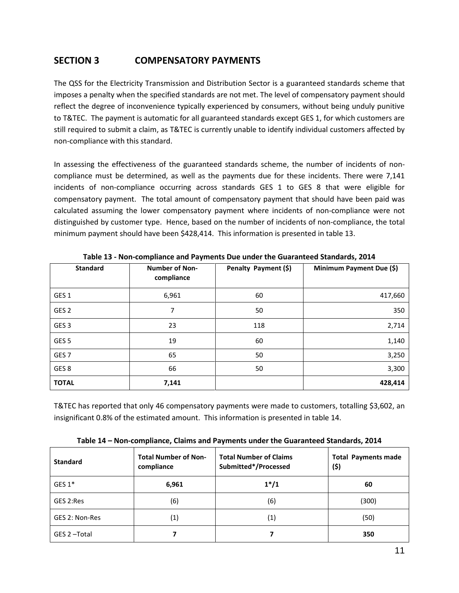# <span id="page-19-0"></span>**SECTION 3 COMPENSATORY PAYMENTS**

The QSS for the Electricity Transmission and Distribution Sector is a guaranteed standards scheme that imposes a penalty when the specified standards are not met. The level of compensatory payment should reflect the degree of inconvenience typically experienced by consumers, without being unduly punitive to T&TEC. The payment is automatic for all guaranteed standards except GES 1, for which customers are still required to submit a claim, as T&TEC is currently unable to identify individual customers affected by non-compliance with this standard.

In assessing the effectiveness of the guaranteed standards scheme, the number of incidents of noncompliance must be determined, as well as the payments due for these incidents. There were 7,141 incidents of non-compliance occurring across standards GES 1 to GES 8 that were eligible for compensatory payment. The total amount of compensatory payment that should have been paid was calculated assuming the lower compensatory payment where incidents of non-compliance were not distinguished by customer type. Hence, based on the number of incidents of non-compliance, the total minimum payment should have been \$428,414. This information is presented in table 13.

<span id="page-19-1"></span>

| <b>Standard</b>  | <b>Number of Non-</b><br>compliance | Penalty Payment (\$) | Minimum Payment Due (\$) |
|------------------|-------------------------------------|----------------------|--------------------------|
| GES <sub>1</sub> | 6,961                               | 60                   | 417,660                  |
| GES <sub>2</sub> | 7                                   | 50                   | 350                      |
| GES <sub>3</sub> | 23                                  | 118                  | 2,714                    |
| GES <sub>5</sub> | 19                                  | 60                   | 1,140                    |
| GES <sub>7</sub> | 65                                  | 50                   | 3,250                    |
| GES <sub>8</sub> | 66                                  | 50                   | 3,300                    |
| <b>TOTAL</b>     | 7,141                               |                      | 428,414                  |

**Table 13 - Non-compliance and Payments Due under the Guaranteed Standards, 2014** 

T&TEC has reported that only 46 compensatory payments were made to customers, totalling \$3,602, an insignificant 0.8% of the estimated amount. This information is presented in table 14.

<span id="page-19-2"></span>

| <b>Standard</b> | <b>Total Number of Non-</b><br>compliance | <b>Total Number of Claims</b><br>Submitted*/Processed | <b>Total Payments made</b><br>(\$) |  |
|-----------------|-------------------------------------------|-------------------------------------------------------|------------------------------------|--|
| GES $1*$        | 6,961                                     | $1*/1$                                                | 60                                 |  |
| GES 2:Res       | (6)                                       | (6)                                                   | (300)                              |  |
| GES 2: Non-Res  | (1)                                       | (1)                                                   | (50)                               |  |
| GES 2-Total     |                                           |                                                       | 350                                |  |

**Table 14 – Non-compliance, Claims and Payments under the Guaranteed Standards, 2014**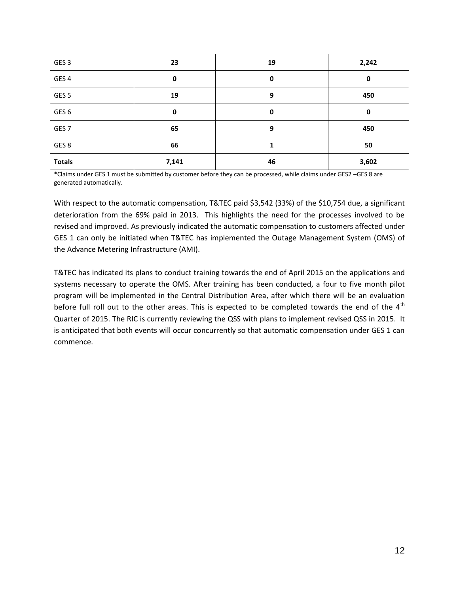| GES <sub>3</sub> | 23    | 19 | 2,242 |
|------------------|-------|----|-------|
| GES <sub>4</sub> | 0     | 0  | 0     |
| GES <sub>5</sub> | 19    | 9  | 450   |
| GES <sub>6</sub> | 0     | 0  | 0     |
| GES <sub>7</sub> | 65    | 9  | 450   |
| GES 8            | 66    |    | 50    |
| <b>Totals</b>    | 7,141 | 46 | 3,602 |

\*Claims under GES 1 must be submitted by customer before they can be processed, while claims under GES2 –GES 8 are generated automatically.

With respect to the automatic compensation, T&TEC paid \$3,542 (33%) of the \$10,754 due, a significant deterioration from the 69% paid in 2013. This highlights the need for the processes involved to be revised and improved. As previously indicated the automatic compensation to customers affected under GES 1 can only be initiated when T&TEC has implemented the Outage Management System (OMS) of the Advance Metering Infrastructure (AMI).

T&TEC has indicated its plans to conduct training towards the end of April 2015 on the applications and systems necessary to operate the OMS. After training has been conducted, a four to five month pilot program will be implemented in the Central Distribution Area, after which there will be an evaluation before full roll out to the other areas. This is expected to be completed towards the end of the  $4<sup>th</sup>$ Quarter of 2015. The RIC is currently reviewing the QSS with plans to implement revised QSS in 2015. It is anticipated that both events will occur concurrently so that automatic compensation under GES 1 can commence.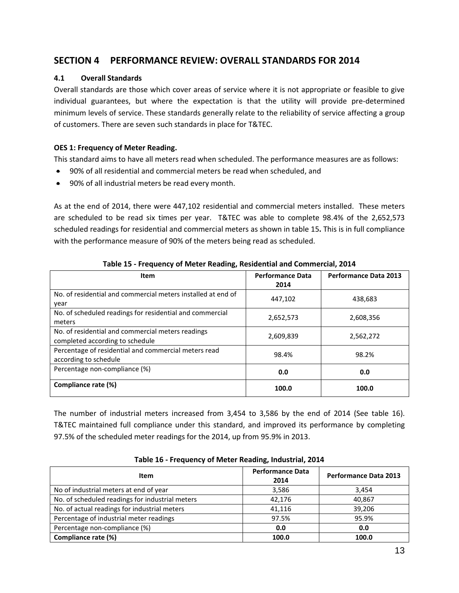# <span id="page-21-0"></span>**SECTION 4 PERFORMANCE REVIEW: OVERALL STANDARDS FOR 2014**

# <span id="page-21-1"></span>**4.1 Overall Standards**

Overall standards are those which cover areas of service where it is not appropriate or feasible to give individual guarantees, but where the expectation is that the utility will provide pre-determined minimum levels of service. These standards generally relate to the reliability of service affecting a group of customers. There are seven such standards in place for T&TEC.

# <span id="page-21-2"></span>**OES 1: Frequency of Meter Reading.**

This standard aims to have all meters read when scheduled. The performance measures are as follows:

- 90% of all residential and commercial meters be read when scheduled, and
- 90% of all industrial meters be read every month.

As at the end of 2014, there were 447,102 residential and commercial meters installed. These meters are scheduled to be read six times per year. T&TEC was able to complete 98.4% of the 2,652,573 scheduled readings for residential and commercial meters as shown in table 15**.** This is in full compliance with the performance measure of 90% of the meters being read as scheduled.

<span id="page-21-3"></span>

| Item                                                         | <b>Performance Data</b> | <b>Performance Data 2013</b> |
|--------------------------------------------------------------|-------------------------|------------------------------|
|                                                              | 2014                    |                              |
| No. of residential and commercial meters installed at end of | 447,102                 | 438,683                      |
| year                                                         |                         |                              |
| No. of scheduled readings for residential and commercial     | 2,652,573               | 2,608,356                    |
| meters                                                       |                         |                              |
| No. of residential and commercial meters readings            | 2,609,839               | 2,562,272                    |
| completed according to schedule                              |                         |                              |
| Percentage of residential and commercial meters read         | 98.4%                   | 98.2%                        |
| according to schedule                                        |                         |                              |
| Percentage non-compliance (%)                                | 0.0                     | 0.0                          |
|                                                              |                         |                              |
| Compliance rate (%)                                          | 100.0                   | 100.0                        |

**Table 15 - Frequency of Meter Reading, Residential and Commercial, 2014**

The number of industrial meters increased from 3,454 to 3,586 by the end of 2014 (See table 16). T&TEC maintained full compliance under this standard, and improved its performance by completing 97.5% of the scheduled meter readings for the 2014, up from 95.9% in 2013.

<span id="page-21-4"></span>

| Item                                            | <b>Performance Data</b><br>2014 | <b>Performance Data 2013</b> |
|-------------------------------------------------|---------------------------------|------------------------------|
| No of industrial meters at end of year          | 3,586                           | 3,454                        |
| No. of scheduled readings for industrial meters | 42,176                          | 40,867                       |
| No. of actual readings for industrial meters    | 41.116                          | 39,206                       |
| Percentage of industrial meter readings         | 97.5%                           | 95.9%                        |
| Percentage non-compliance (%)                   | 0.0                             | 0.0                          |
| Compliance rate (%)                             | 100.0                           | 100.0                        |

**Table 16 - Frequency of Meter Reading, Industrial, 2014**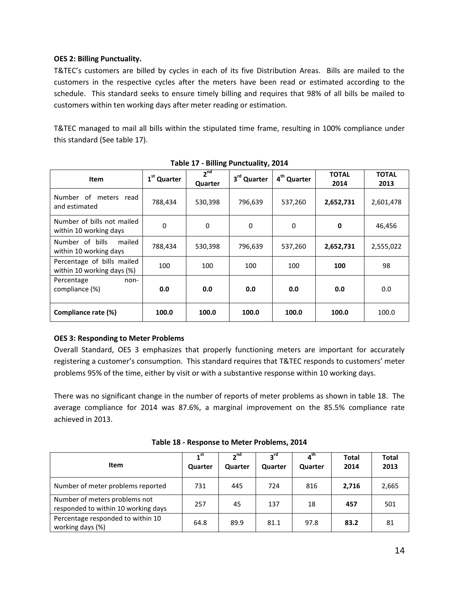# <span id="page-22-0"></span>**OES 2: Billing Punctuality.**

T&TEC's customers are billed by cycles in each of its five Distribution Areas. Bills are mailed to the customers in the respective cycles after the meters have been read or estimated according to the schedule. This standard seeks to ensure timely billing and requires that 98% of all bills be mailed to customers within ten working days after meter reading or estimation.

T&TEC managed to mail all bills within the stipulated time frame, resulting in 100% compliance under this standard (See table 17).

<span id="page-22-2"></span>

| <b>Item</b>                                              | 1 <sup>st</sup> Quarter | $2^{nd}$<br>Quarter | 3 <sup>rd</sup> Quarter | 4 <sup>th</sup> Quarter | <b>TOTAL</b><br>2014 | <b>TOTAL</b><br>2013 |
|----------------------------------------------------------|-------------------------|---------------------|-------------------------|-------------------------|----------------------|----------------------|
| of meters read<br>Number<br>and estimated                | 788,434                 | 530,398             | 796,639                 | 537,260                 | 2,652,731            | 2,601,478            |
| Number of bills not mailed<br>within 10 working days     | $\Omega$                | $\Omega$            | $\Omega$                | $\Omega$                | 0                    | 46,456               |
| Number of bills<br>mailed<br>within 10 working days      | 788,434                 | 530,398             | 796,639                 | 537,260                 | 2,652,731            | 2,555,022            |
| Percentage of bills mailed<br>within 10 working days (%) | 100                     | 100                 | 100                     | 100                     | 100                  | 98                   |
| Percentage<br>non-<br>compliance (%)                     | 0.0                     | 0.0                 | 0.0                     | 0.0                     | 0.0                  | 0.0                  |
| Compliance rate (%)                                      | 100.0                   | 100.0               | 100.0                   | 100.0                   | 100.0                | 100.0                |

**Table 17 - Billing Punctuality, 2014**

# <span id="page-22-1"></span>**OES 3: Responding to Meter Problems**

Overall Standard, OES 3 emphasizes that properly functioning meters are important for accurately registering a customer's consumption. This standard requires that T&TEC responds to customers' meter problems 95% of the time, either by visit or with a substantive response within 10 working days.

There was no significant change in the number of reports of meter problems as shown in table 18. The average compliance for 2014 was 87.6%, a marginal improvement on the 85.5% compliance rate achieved in 2013.

<span id="page-22-3"></span>

| Item                                                                 | 1 <sup>st</sup><br>Quarter | 2 <sup>nd</sup><br>Quarter | ეrd<br>Quarter | 4 <sup>th</sup><br>Quarter | <b>Total</b><br>2014 | <b>Total</b><br>2013 |
|----------------------------------------------------------------------|----------------------------|----------------------------|----------------|----------------------------|----------------------|----------------------|
| Number of meter problems reported                                    | 731                        | 445                        | 724            | 816                        | 2,716                | 2,665                |
| Number of meters problems not<br>responded to within 10 working days | 257                        | 45                         | 137            | 18                         | 457                  | 501                  |
| Percentage responded to within 10<br>working days (%)                | 64.8                       | 89.9                       | 81.1           | 97.8                       | 83.2                 | 81                   |

**Table 18 - Response to Meter Problems, 2014**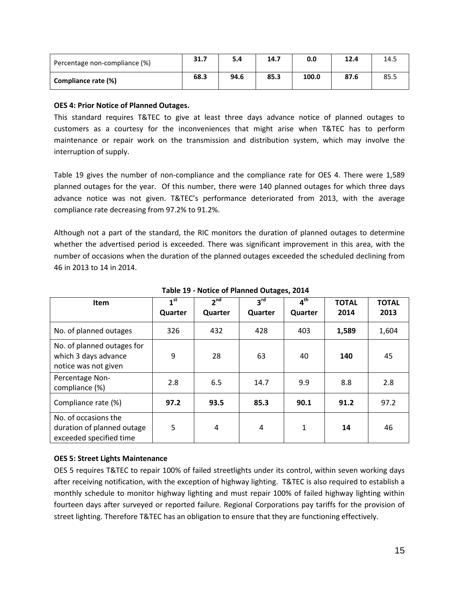| Percentage non-compliance (%) | 31.7 | 5.4  | 14.7 | 0.0   | 12.4 | 14.5 |
|-------------------------------|------|------|------|-------|------|------|
| Compliance rate (%)           | 68.3 | 94.6 | 85.3 | 100.0 | 87.6 | 85.5 |

#### <span id="page-23-0"></span>**OES 4: Prior Notice of Planned Outages.**

This standard requires T&TEC to give at least three days advance notice of planned outages to customers as a courtesy for the inconveniences that might arise when T&TEC has to perform maintenance or repair work on the transmission and distribution system, which may involve the interruption of supply.

Table 19 gives the number of non-compliance and the compliance rate for OES 4. There were 1,589 planned outages for the year. Of this number, there were 140 planned outages for which three days advance notice was not given. T&TEC's performance deteriorated from 2013, with the average compliance rate decreasing from 97.2% to 91.2%.

Although not a part of the standard, the RIC monitors the duration of planned outages to determine whether the advertised period is exceeded. There was significant improvement in this area, with the number of occasions when the duration of the planned outages exceeded the scheduled declining from 46 in 2013 to 14 in 2014.

<span id="page-23-2"></span>

| <b>Item</b>                                                                   | 1 <sup>st</sup><br>Quarter | 2 <sup>nd</sup><br>Quarter | 3 <sup>rd</sup><br>Quarter | 4 <sup>th</sup><br>Quarter | <b>TOTAL</b><br>2014 | <b>TOTAL</b><br>2013 |
|-------------------------------------------------------------------------------|----------------------------|----------------------------|----------------------------|----------------------------|----------------------|----------------------|
| No. of planned outages                                                        | 326                        | 432                        | 428                        | 403                        | 1,589                | 1,604                |
| No. of planned outages for<br>which 3 days advance<br>notice was not given    | 9                          | 28                         | 63                         | 40                         | 140                  | 45                   |
| Percentage Non-<br>compliance (%)                                             | 2.8                        | 6.5                        | 14.7                       | 9.9                        | 8.8                  | 2.8                  |
| Compliance rate (%)                                                           | 97.2                       | 93.5                       | 85.3                       | 90.1                       | 91.2                 | 97.2                 |
| No. of occasions the<br>duration of planned outage<br>exceeded specified time | 5                          | 4                          | 4                          | 1                          | 14                   | 46                   |

**Table 19 - Notice of Planned Outages, 2014**

# <span id="page-23-1"></span>**OES 5: Street Lights Maintenance**

OES 5 requires T&TEC to repair 100% of failed streetlights under its control, within seven working days after receiving notification, with the exception of highway lighting. T&TEC is also required to establish a monthly schedule to monitor highway lighting and must repair 100% of failed highway lighting within fourteen days after surveyed or reported failure. Regional Corporations pay tariffs for the provision of street lighting. Therefore T&TEC has an obligation to ensure that they are functioning effectively.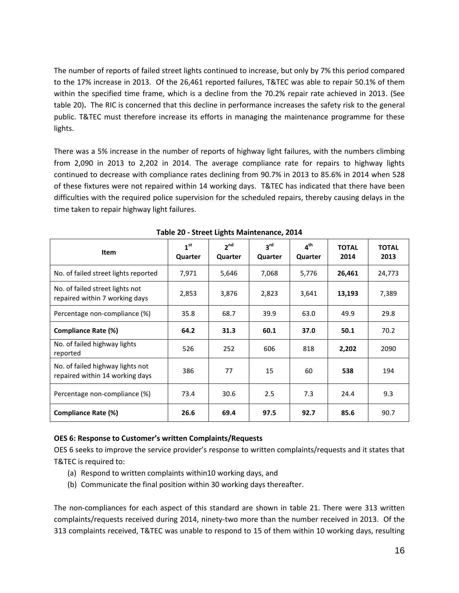The number of reports of failed street lights continued to increase, but only by 7% this period compared to the 17% increase in 2013. Of the 26,461 reported failures, T&TEC was able to repair 50.1% of them within the specified time frame, which is a decline from the 70.2% repair rate achieved in 2013. (See table 20)**.** The RIC is concerned that this decline in performance increases the safety risk to the general public. T&TEC must therefore increase its efforts in managing the maintenance programme for these lights.

There was a 5% increase in the number of reports of highway light failures, with the numbers climbing from 2,090 in 2013 to 2,202 in 2014. The average compliance rate for repairs to highway lights continued to decrease with compliance rates declining from 90.7% in 2013 to 85.6% in 2014 when 528 of these fixtures were not repaired within 14 working days. T&TEC has indicated that there have been difficulties with the required police supervision for the scheduled repairs, thereby causing delays in the time taken to repair highway light failures.

<span id="page-24-1"></span>

| Item                                                                | 1 <sup>st</sup><br>Quarter | $2^{nd}$<br>Quarter | 3 <sup>rd</sup><br>Quarter | $4^{\text{th}}$<br>Quarter | <b>TOTAL</b><br>2014 | <b>TOTAL</b><br>2013 |
|---------------------------------------------------------------------|----------------------------|---------------------|----------------------------|----------------------------|----------------------|----------------------|
| No. of failed street lights reported                                | 7,971                      | 5,646               | 7,068                      | 5,776                      | 26,461               | 24,773               |
| No. of failed street lights not<br>repaired within 7 working days   | 2,853                      | 3,876               | 2,823                      | 3,641                      | 13,193               | 7,389                |
| Percentage non-compliance (%)                                       | 35.8                       | 68.7                | 39.9                       | 63.0                       | 49.9                 | 29.8                 |
| Compliance Rate (%)                                                 | 64.2                       | 31.3                | 60.1                       | 37.0                       | 50.1                 | 70.2                 |
| No. of failed highway lights<br>reported                            | 526                        | 252                 | 606                        | 818                        | 2,202                | 2090                 |
| No. of failed highway lights not<br>repaired within 14 working days | 386                        | 77                  | 15                         | 60                         | 538                  | 194                  |
| Percentage non-compliance (%)                                       | 73.4                       | 30.6                | 2.5                        | 7.3                        | 24.4                 | 9.3                  |
| Compliance Rate (%)                                                 | 26.6                       | 69.4                | 97.5                       | 92.7                       | 85.6                 | 90.7                 |

**Table 20 - Street Lights Maintenance, 2014**

# <span id="page-24-0"></span>**OES 6: Response to Customer's written Complaints/Requests**

OES 6 seeks to improve the service provider's response to written complaints/requests and it states that T&TEC is required to:

- (a) Respond to written complaints within10 working days, and
- (b) Communicate the final position within 30 working days thereafter.

The non-compliances for each aspect of this standard are shown in table 21. There were 313 written complaints/requests received during 2014, ninety-two more than the number received in 2013. Of the 313 complaints received, T&TEC was unable to respond to 15 of them within 10 working days, resulting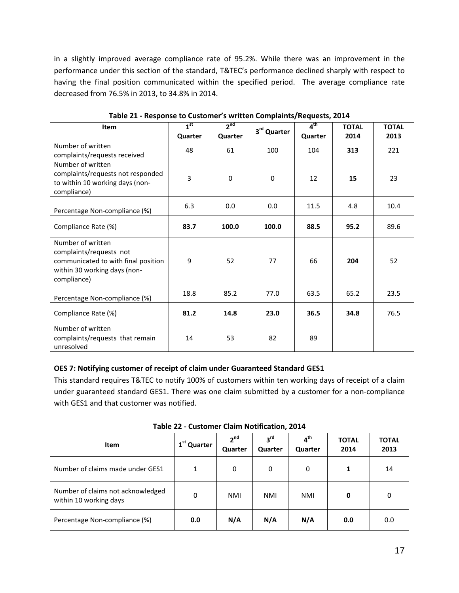in a slightly improved average compliance rate of 95.2%. While there was an improvement in the performance under this section of the standard, T&TEC's performance declined sharply with respect to having the final position communicated within the specified period. The average compliance rate decreased from 76.5% in 2013, to 34.8% in 2014.

<span id="page-25-1"></span>

| Item                                                                                                                               | 1 <sup>st</sup> | 2 <sup>nd</sup> | 3rd Quarter | 4 <sup>th</sup> | <b>TOTAL</b> | <b>TOTAL</b> |
|------------------------------------------------------------------------------------------------------------------------------------|-----------------|-----------------|-------------|-----------------|--------------|--------------|
|                                                                                                                                    | Quarter         | Quarter         |             | Quarter         | 2014         | 2013         |
| Number of written<br>complaints/requests received                                                                                  | 48              | 61              | 100         | 104             | 313          | 221          |
| Number of written<br>complaints/requests not responded<br>to within 10 working days (non-<br>compliance)                           | 3               | $\mathbf 0$     | $\Omega$    | 12              | 15           | 23           |
| Percentage Non-compliance (%)                                                                                                      | 6.3             | 0.0             | 0.0         | 11.5            | 4.8          | 10.4         |
| Compliance Rate (%)                                                                                                                | 83.7            | 100.0           | 100.0       | 88.5            | 95.2         | 89.6         |
| Number of written<br>complaints/requests not<br>communicated to with final position<br>within 30 working days (non-<br>compliance) | 9               | 52              | 77          | 66              | 204          | 52           |
| Percentage Non-compliance (%)                                                                                                      | 18.8            | 85.2            | 77.0        | 63.5            | 65.2         | 23.5         |
| Compliance Rate (%)                                                                                                                | 81.2            | 14.8            | 23.0        | 36.5            | 34.8         | 76.5         |
| Number of written<br>complaints/requests that remain<br>unresolved                                                                 | 14              | 53              | 82          | 89              |              |              |

**Table 21 - Response to Customer's written Complaints/Requests, 2014**

# <span id="page-25-0"></span>**OES 7: Notifying customer of receipt of claim under Guaranteed Standard GES1**

This standard requires T&TEC to notify 100% of customers within ten working days of receipt of a claim under guaranteed standard GES1. There was one claim submitted by a customer for a non-compliance with GES1 and that customer was notified.

<span id="page-25-2"></span>

| Item                                                        | 1 <sup>st</sup> Quarter | 2 <sup>nd</sup><br>Quarter | $3^{\text{rd}}$<br>Quarter | $4^{\text{th}}$<br>Quarter | <b>TOTAL</b><br>2014 | <b>TOTAL</b><br>2013 |
|-------------------------------------------------------------|-------------------------|----------------------------|----------------------------|----------------------------|----------------------|----------------------|
| Number of claims made under GES1                            | 1                       | 0                          | 0                          | 0                          | 1                    | 14                   |
| Number of claims not acknowledged<br>within 10 working days | 0                       | <b>NMI</b>                 | NMI                        | NMI                        | 0                    | 0                    |
| Percentage Non-compliance (%)                               | 0.0                     | N/A                        | N/A                        | N/A                        | 0.0                  | 0.0                  |

**Table 22 - Customer Claim Notification, 2014**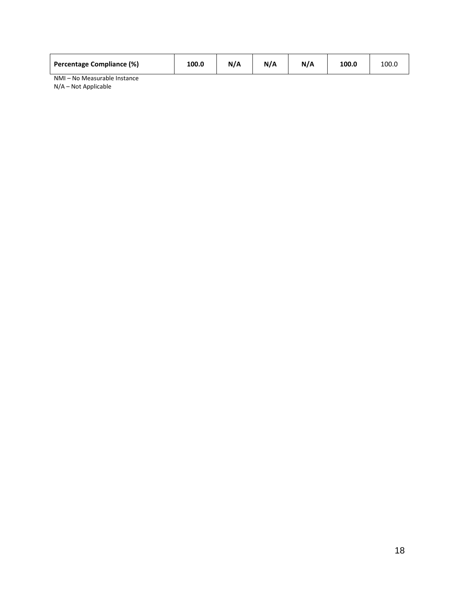| <b>Percentage Compliance (%)</b>       | 100.0 | N/A | N/A | 100.0 | 100.0 |
|----------------------------------------|-------|-----|-----|-------|-------|
| No Moncurable Instance<br><b>NIMAL</b> |       |     |     |       |       |

<span id="page-26-1"></span><span id="page-26-0"></span>NMI – No Measurable Instance N/A – Not Applicable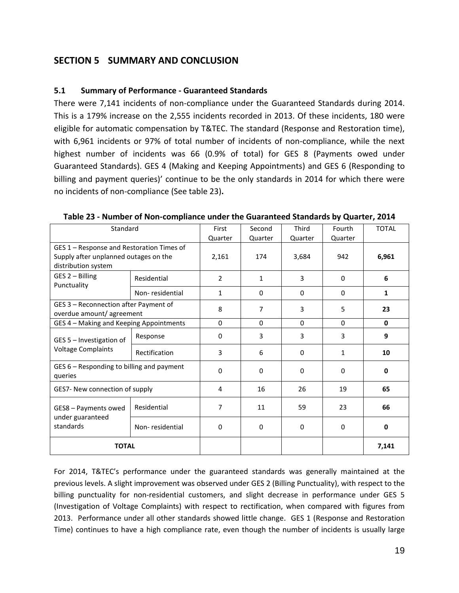# **SECTION 5 SUMMARY AND CONCLUSION**

# <span id="page-27-0"></span>**5.1 Summary of Performance - Guaranteed Standards**

There were 7,141 incidents of non-compliance under the Guaranteed Standards during 2014. This is a 179% increase on the 2,555 incidents recorded in 2013. Of these incidents, 180 were eligible for automatic compensation by T&TEC. The standard (Response and Restoration time), with 6,961 incidents or 97% of total number of incidents of non-compliance, while the next highest number of incidents was 66 (0.9% of total) for GES 8 (Payments owed under Guaranteed Standards). GES 4 (Making and Keeping Appointments) and GES 6 (Responding to billing and payment queries)' continue to be the only standards in 2014 for which there were no incidents of non-compliance (See table 23)**.**

| Standard                                                                                                  |                 | First          | Second       | Third       | Fourth       | <b>TOTAL</b> |
|-----------------------------------------------------------------------------------------------------------|-----------------|----------------|--------------|-------------|--------------|--------------|
|                                                                                                           | Quarter         | Quarter        | Quarter      | Quarter     |              |              |
| GES 1 - Response and Restoration Times of<br>Supply after unplanned outages on the<br>distribution system |                 | 2,161          | 174          | 3,684       | 942          | 6,961        |
| GES 2 - Billing<br>Punctuality                                                                            | Residential     | $\overline{2}$ | $\mathbf{1}$ | 3           | $\Omega$     | 6            |
|                                                                                                           | Non-residential | $\mathbf{1}$   | 0            | $\Omega$    | $\Omega$     | 1            |
| GES 3 - Reconnection after Payment of<br>overdue amount/agreement                                         |                 | 8              | 7            | 3           | 5            | 23           |
| GES 4 - Making and Keeping Appointments                                                                   | $\Omega$        | $\Omega$       | $\Omega$     | $\Omega$    | $\mathbf{0}$ |              |
| GES 5 - Investigation of<br><b>Voltage Complaints</b>                                                     | Response        | 0              | 3            | 3           | 3            | 9            |
|                                                                                                           | Rectification   | 3              | 6            | $\mathbf 0$ | 1            | 10           |
| GES 6 - Responding to billing and payment<br>queries                                                      |                 | 0              | $\Omega$     | 0           | $\Omega$     | 0            |
| GES7- New connection of supply                                                                            |                 | 4              | 16           | 26          | 19           | 65           |
| GES8 - Payments owed<br>under guaranteed<br>standards                                                     | Residential     | 7              | 11           | 59          | 23           | 66           |
|                                                                                                           | Non-residential | 0              | 0            | 0           | $\Omega$     | 0            |
| <b>TOTAL</b>                                                                                              |                 |                |              |             |              | 7,141        |

<span id="page-27-1"></span>**Table 23 - Number of Non-compliance under the Guaranteed Standards by Quarter, 2014**

For 2014, T&TEC's performance under the guaranteed standards was generally maintained at the previous levels. A slight improvement was observed under GES 2 (Billing Punctuality), with respect to the billing punctuality for non-residential customers, and slight decrease in performance under GES 5 (Investigation of Voltage Complaints) with respect to rectification, when compared with figures from 2013. Performance under all other standards showed little change. GES 1 (Response and Restoration Time) continues to have a high compliance rate, even though the number of incidents is usually large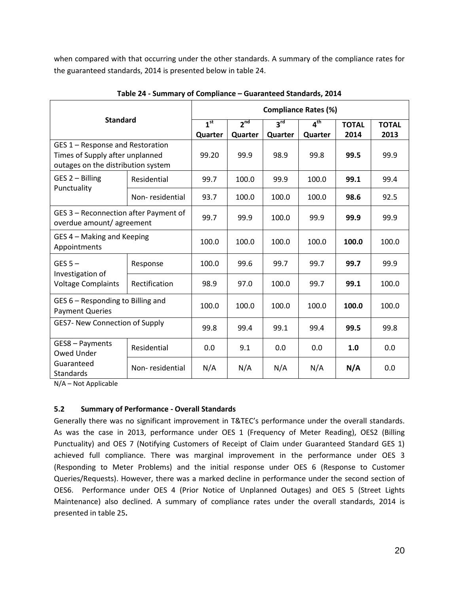when compared with that occurring under the other standards. A summary of the compliance rates for the guaranteed standards, 2014 is presented below in table 24.

<span id="page-28-1"></span>

| <b>Standard</b>                                                                                           |                 | <b>Compliance Rates (%)</b> |                            |                            |                            |                      |                      |  |
|-----------------------------------------------------------------------------------------------------------|-----------------|-----------------------------|----------------------------|----------------------------|----------------------------|----------------------|----------------------|--|
|                                                                                                           |                 | 1 <sup>st</sup><br>Quarter  | 2 <sup>nd</sup><br>Quarter | 3 <sup>rd</sup><br>Quarter | 4 <sup>th</sup><br>Quarter | <b>TOTAL</b><br>2014 | <b>TOTAL</b><br>2013 |  |
| GES 1 - Response and Restoration<br>Times of Supply after unplanned<br>outages on the distribution system |                 | 99.20                       | 99.9                       | 98.9                       | 99.8                       | 99.5                 | 99.9                 |  |
| GES 2 - Billing<br>Punctuality                                                                            | Residential     | 99.7                        | 100.0                      | 99.9                       | 100.0                      | 99.1                 | 99.4                 |  |
|                                                                                                           | Non-residential | 93.7                        | 100.0                      | 100.0                      | 100.0                      | 98.6                 | 92.5                 |  |
| GES 3 - Reconnection after Payment of<br>overdue amount/agreement                                         |                 | 99.7                        | 99.9                       | 100.0                      | 99.9                       | 99.9                 | 99.9                 |  |
| GES 4 – Making and Keeping<br>Appointments                                                                |                 | 100.0                       | 100.0                      | 100.0                      | 100.0                      | 100.0                | 100.0                |  |
| GES $5-$<br>Investigation of<br><b>Voltage Complaints</b>                                                 | Response        | 100.0                       | 99.6                       | 99.7                       | 99.7                       | 99.7                 | 99.9                 |  |
|                                                                                                           | Rectification   | 98.9                        | 97.0                       | 100.0                      | 99.7                       | 99.1                 | 100.0                |  |
| GES 6 - Responding to Billing and<br><b>Payment Queries</b>                                               |                 | 100.0                       | 100.0                      | 100.0                      | 100.0                      | 100.0                | 100.0                |  |
| <b>GES7- New Connection of Supply</b>                                                                     |                 | 99.8                        | 99.4                       | 99.1                       | 99.4                       | 99.5                 | 99.8                 |  |
| GES8 - Payments<br>Owed Under                                                                             | Residential     | 0.0                         | 9.1                        | 0.0                        | 0.0                        | 1.0                  | 0.0                  |  |
| Guaranteed<br><b>Standards</b>                                                                            | Non-residential | N/A                         | N/A                        | N/A                        | N/A                        | N/A                  | 0.0                  |  |

**Table 24 - Summary of Compliance – Guaranteed Standards, 2014**

N/A – Not Applicable

# <span id="page-28-0"></span>**5.2 Summary of Performance - Overall Standards**

Generally there was no significant improvement in T&TEC's performance under the overall standards. As was the case in 2013, performance under OES 1 (Frequency of Meter Reading), OES2 (Billing Punctuality) and OES 7 (Notifying Customers of Receipt of Claim under Guaranteed Standard GES 1) achieved full compliance. There was marginal improvement in the performance under OES 3 (Responding to Meter Problems) and the initial response under OES 6 (Response to Customer Queries/Requests). However, there was a marked decline in performance under the second section of OES6. Performance under OES 4 (Prior Notice of Unplanned Outages) and OES 5 (Street Lights Maintenance) also declined. A summary of compliance rates under the overall standards, 2014 is presented in table 25**.**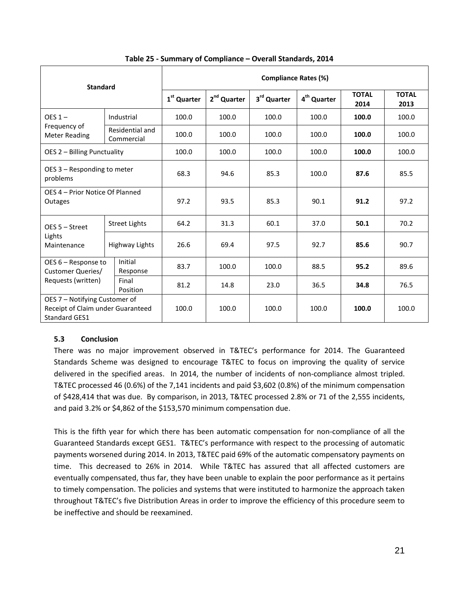<span id="page-29-1"></span>

| <b>Standard</b>                                                                            |                | <b>Compliance Rates (%)</b>   |                         |             |                         |                      |                      |       |
|--------------------------------------------------------------------------------------------|----------------|-------------------------------|-------------------------|-------------|-------------------------|----------------------|----------------------|-------|
|                                                                                            |                | 1 <sup>st</sup> Quarter       | 2 <sup>nd</sup> Quarter | 3rd Quarter | 4 <sup>th</sup> Quarter | <b>TOTAL</b><br>2014 | <b>TOTAL</b><br>2013 |       |
| $OES 1 -$<br>Frequency of<br><b>Meter Reading</b>                                          |                | Industrial                    | 100.0                   | 100.0       | 100.0                   | 100.0                | 100.0                | 100.0 |
|                                                                                            |                | Residential and<br>Commercial | 100.0                   | 100.0       | 100.0                   | 100.0                | 100.0                | 100.0 |
| OES 2 - Billing Punctuality                                                                |                | 100.0                         | 100.0                   | 100.0       | 100.0                   | 100.0                | 100.0                |       |
| OES 3 - Responding to meter<br>problems                                                    |                | 68.3                          | 94.6                    | 85.3        | 100.0                   | 87.6                 | 85.5                 |       |
| OES 4 – Prior Notice Of Planned<br><b>Outages</b>                                          |                | 97.2                          | 93.5                    | 85.3        | 90.1                    | 91.2                 | 97.2                 |       |
| OES 5 - Street<br>Lights<br>Maintenance                                                    |                | <b>Street Lights</b>          | 64.2                    | 31.3        | 60.1                    | 37.0                 | 50.1                 | 70.2  |
|                                                                                            | Highway Lights |                               | 26.6                    | 69.4        | 97.5                    | 92.7                 | 85.6                 | 90.7  |
| OES 6 – Response to<br><b>Customer Queries/</b><br>Requests (written)                      |                | Initial<br>Response           | 83.7                    | 100.0       | 100.0                   | 88.5                 | 95.2                 | 89.6  |
|                                                                                            |                | Final<br>Position             | 81.2                    | 14.8        | 23.0                    | 36.5                 | 34.8                 | 76.5  |
| OES 7 - Notifying Customer of<br>Receipt of Claim under Guaranteed<br><b>Standard GES1</b> |                | 100.0                         | 100.0                   | 100.0       | 100.0                   | 100.0                | 100.0                |       |

#### **Table 25 - Summary of Compliance – Overall Standards, 2014**

# <span id="page-29-0"></span>**5.3 Conclusion**

There was no major improvement observed in T&TEC's performance for 2014. The Guaranteed Standards Scheme was designed to encourage T&TEC to focus on improving the quality of service delivered in the specified areas. In 2014, the number of incidents of non-compliance almost tripled. T&TEC processed 46 (0.6%) of the 7,141 incidents and paid \$3,602 (0.8%) of the minimum compensation of \$428,414 that was due. By comparison, in 2013, T&TEC processed 2.8% or 71 of the 2,555 incidents, and paid 3.2% or \$4,862 of the \$153,570 minimum compensation due.

This is the fifth year for which there has been automatic compensation for non-compliance of all the Guaranteed Standards except GES1. T&TEC's performance with respect to the processing of automatic payments worsened during 2014. In 2013, T&TEC paid 69% of the automatic compensatory payments on time. This decreased to 26% in 2014. While T&TEC has assured that all affected customers are eventually compensated, thus far, they have been unable to explain the poor performance as it pertains to timely compensation. The policies and systems that were instituted to harmonize the approach taken throughout T&TEC's five Distribution Areas in order to improve the efficiency of this procedure seem to be ineffective and should be reexamined.